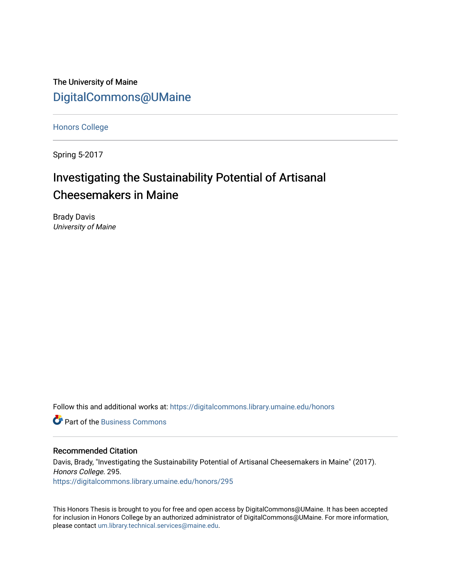The University of Maine [DigitalCommons@UMaine](https://digitalcommons.library.umaine.edu/)

[Honors College](https://digitalcommons.library.umaine.edu/honors)

Spring 5-2017

# Investigating the Sustainability Potential of Artisanal Cheesemakers in Maine

Brady Davis University of Maine

Follow this and additional works at: [https://digitalcommons.library.umaine.edu/honors](https://digitalcommons.library.umaine.edu/honors?utm_source=digitalcommons.library.umaine.edu%2Fhonors%2F295&utm_medium=PDF&utm_campaign=PDFCoverPages) 

**C** Part of the [Business Commons](http://network.bepress.com/hgg/discipline/622?utm_source=digitalcommons.library.umaine.edu%2Fhonors%2F295&utm_medium=PDF&utm_campaign=PDFCoverPages)

#### Recommended Citation

Davis, Brady, "Investigating the Sustainability Potential of Artisanal Cheesemakers in Maine" (2017). Honors College. 295. [https://digitalcommons.library.umaine.edu/honors/295](https://digitalcommons.library.umaine.edu/honors/295?utm_source=digitalcommons.library.umaine.edu%2Fhonors%2F295&utm_medium=PDF&utm_campaign=PDFCoverPages) 

This Honors Thesis is brought to you for free and open access by DigitalCommons@UMaine. It has been accepted for inclusion in Honors College by an authorized administrator of DigitalCommons@UMaine. For more information, please contact [um.library.technical.services@maine.edu.](mailto:um.library.technical.services@maine.edu)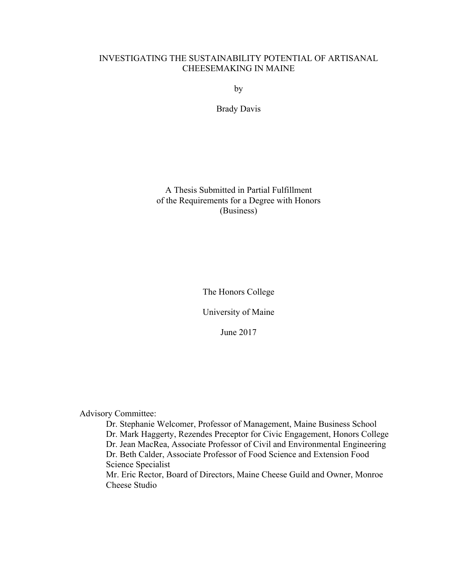### INVESTIGATING THE SUSTAINABILITY POTENTIAL OF ARTISANAL CHEESEMAKING IN MAINE

by

Brady Davis

A Thesis Submitted in Partial Fulfillment of the Requirements for a Degree with Honors (Business)

The Honors College

University of Maine

June 2017

Advisory Committee:

Dr. Stephanie Welcomer, Professor of Management, Maine Business School Dr. Mark Haggerty, Rezendes Preceptor for Civic Engagement, Honors College Dr. Jean MacRea, Associate Professor of Civil and Environmental Engineering Dr. Beth Calder, Associate Professor of Food Science and Extension Food Science Specialist Mr. Eric Rector, Board of Directors, Maine Cheese Guild and Owner, Monroe

Cheese Studio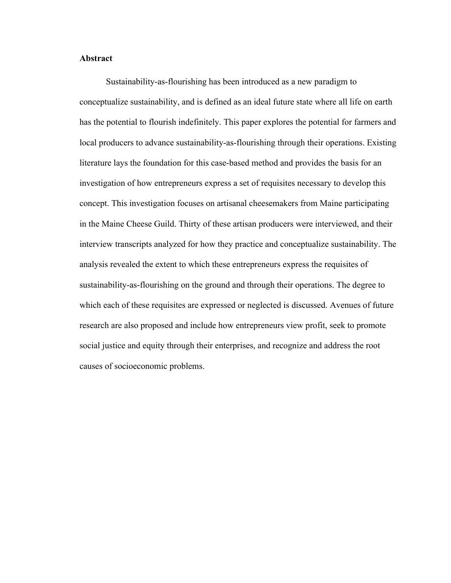#### **Abstract**

Sustainability-as-flourishing has been introduced as a new paradigm to conceptualize sustainability, and is defined as an ideal future state where all life on earth has the potential to flourish indefinitely. This paper explores the potential for farmers and local producers to advance sustainability-as-flourishing through their operations. Existing literature lays the foundation for this case-based method and provides the basis for an investigation of how entrepreneurs express a set of requisites necessary to develop this concept. This investigation focuses on artisanal cheesemakers from Maine participating in the Maine Cheese Guild. Thirty of these artisan producers were interviewed, and their interview transcripts analyzed for how they practice and conceptualize sustainability. The analysis revealed the extent to which these entrepreneurs express the requisites of sustainability-as-flourishing on the ground and through their operations. The degree to which each of these requisites are expressed or neglected is discussed. Avenues of future research are also proposed and include how entrepreneurs view profit, seek to promote social justice and equity through their enterprises, and recognize and address the root causes of socioeconomic problems.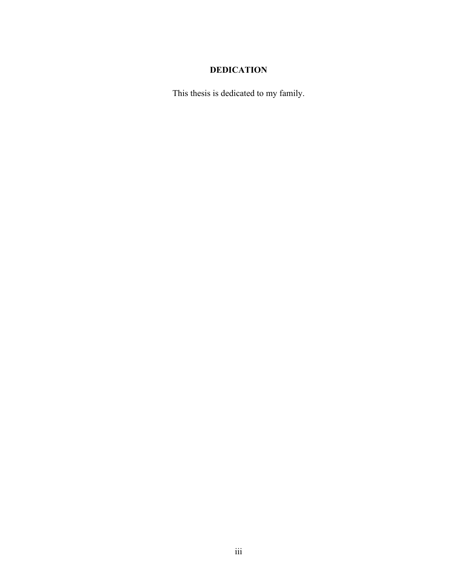# **DEDICATION**

This thesis is dedicated to my family.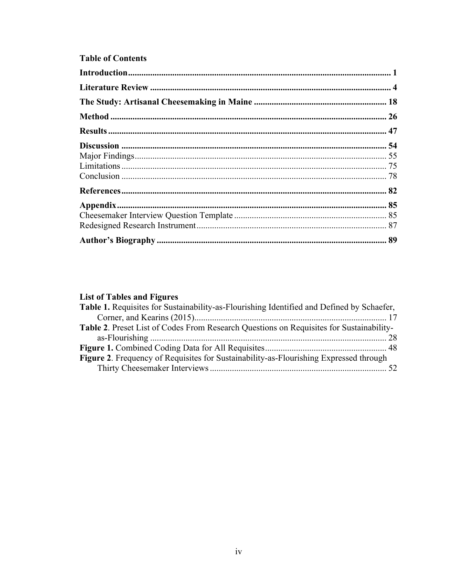## **Table of Contents**

## **List of Tables and Figures**

| Table 1. Requisites for Sustainability-as-Flourishing Identified and Defined by Schaefer,      |  |
|------------------------------------------------------------------------------------------------|--|
|                                                                                                |  |
| <b>Table 2.</b> Preset List of Codes From Research Questions on Requisites for Sustainability- |  |
|                                                                                                |  |
|                                                                                                |  |
| <b>Figure 2.</b> Frequency of Requisites for Sustainability-as-Flourishing Expressed through   |  |
|                                                                                                |  |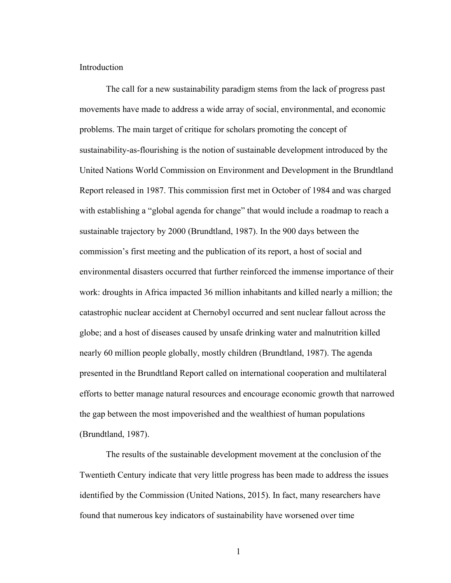#### Introduction

The call for a new sustainability paradigm stems from the lack of progress past movements have made to address a wide array of social, environmental, and economic problems. The main target of critique for scholars promoting the concept of sustainability-as-flourishing is the notion of sustainable development introduced by the United Nations World Commission on Environment and Development in the Brundtland Report released in 1987. This commission first met in October of 1984 and was charged with establishing a "global agenda for change" that would include a roadmap to reach a sustainable trajectory by 2000 (Brundtland, 1987). In the 900 days between the commission's first meeting and the publication of its report, a host of social and environmental disasters occurred that further reinforced the immense importance of their work: droughts in Africa impacted 36 million inhabitants and killed nearly a million; the catastrophic nuclear accident at Chernobyl occurred and sent nuclear fallout across the globe; and a host of diseases caused by unsafe drinking water and malnutrition killed nearly 60 million people globally, mostly children (Brundtland, 1987). The agenda presented in the Brundtland Report called on international cooperation and multilateral efforts to better manage natural resources and encourage economic growth that narrowed the gap between the most impoverished and the wealthiest of human populations (Brundtland, 1987).

The results of the sustainable development movement at the conclusion of the Twentieth Century indicate that very little progress has been made to address the issues identified by the Commission (United Nations, 2015). In fact, many researchers have found that numerous key indicators of sustainability have worsened over time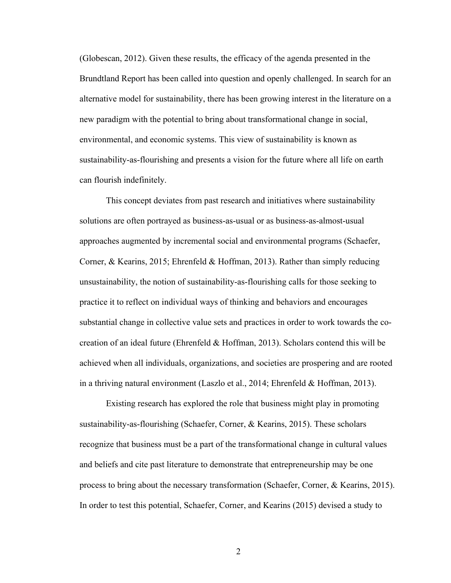(Globescan, 2012). Given these results, the efficacy of the agenda presented in the Brundtland Report has been called into question and openly challenged. In search for an alternative model for sustainability, there has been growing interest in the literature on a new paradigm with the potential to bring about transformational change in social, environmental, and economic systems. This view of sustainability is known as sustainability-as-flourishing and presents a vision for the future where all life on earth can flourish indefinitely.

This concept deviates from past research and initiatives where sustainability solutions are often portrayed as business-as-usual or as business-as-almost-usual approaches augmented by incremental social and environmental programs (Schaefer, Corner, & Kearins, 2015; Ehrenfeld & Hoffman, 2013). Rather than simply reducing unsustainability, the notion of sustainability-as-flourishing calls for those seeking to practice it to reflect on individual ways of thinking and behaviors and encourages substantial change in collective value sets and practices in order to work towards the cocreation of an ideal future (Ehrenfeld & Hoffman, 2013). Scholars contend this will be achieved when all individuals, organizations, and societies are prospering and are rooted in a thriving natural environment (Laszlo et al., 2014; Ehrenfeld & Hoffman, 2013).

Existing research has explored the role that business might play in promoting sustainability-as-flourishing (Schaefer, Corner, & Kearins, 2015). These scholars recognize that business must be a part of the transformational change in cultural values and beliefs and cite past literature to demonstrate that entrepreneurship may be one process to bring about the necessary transformation (Schaefer, Corner, & Kearins, 2015). In order to test this potential, Schaefer, Corner, and Kearins (2015) devised a study to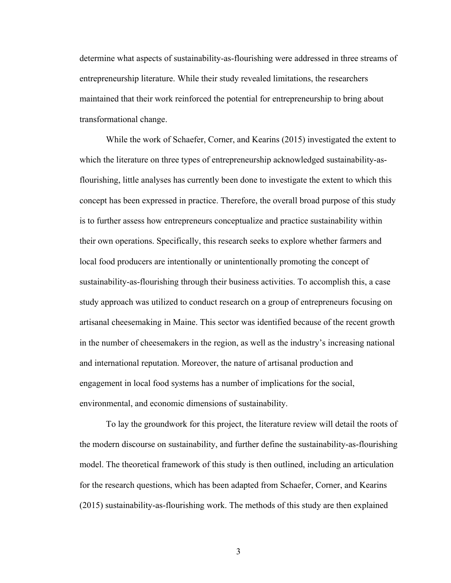determine what aspects of sustainability-as-flourishing were addressed in three streams of entrepreneurship literature. While their study revealed limitations, the researchers maintained that their work reinforced the potential for entrepreneurship to bring about transformational change.

While the work of Schaefer, Corner, and Kearins (2015) investigated the extent to which the literature on three types of entrepreneurship acknowledged sustainability-asflourishing, little analyses has currently been done to investigate the extent to which this concept has been expressed in practice. Therefore, the overall broad purpose of this study is to further assess how entrepreneurs conceptualize and practice sustainability within their own operations. Specifically, this research seeks to explore whether farmers and local food producers are intentionally or unintentionally promoting the concept of sustainability-as-flourishing through their business activities. To accomplish this, a case study approach was utilized to conduct research on a group of entrepreneurs focusing on artisanal cheesemaking in Maine. This sector was identified because of the recent growth in the number of cheesemakers in the region, as well as the industry's increasing national and international reputation. Moreover, the nature of artisanal production and engagement in local food systems has a number of implications for the social, environmental, and economic dimensions of sustainability.

To lay the groundwork for this project, the literature review will detail the roots of the modern discourse on sustainability, and further define the sustainability-as-flourishing model. The theoretical framework of this study is then outlined, including an articulation for the research questions, which has been adapted from Schaefer, Corner, and Kearins (2015) sustainability-as-flourishing work. The methods of this study are then explained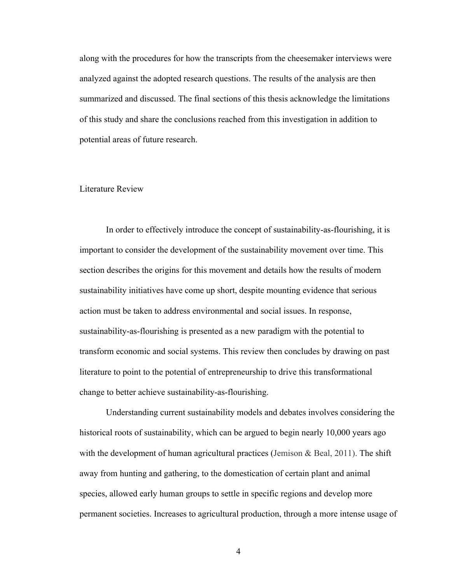along with the procedures for how the transcripts from the cheesemaker interviews were analyzed against the adopted research questions. The results of the analysis are then summarized and discussed. The final sections of this thesis acknowledge the limitations of this study and share the conclusions reached from this investigation in addition to potential areas of future research.

#### Literature Review

In order to effectively introduce the concept of sustainability-as-flourishing, it is important to consider the development of the sustainability movement over time. This section describes the origins for this movement and details how the results of modern sustainability initiatives have come up short, despite mounting evidence that serious action must be taken to address environmental and social issues. In response, sustainability-as-flourishing is presented as a new paradigm with the potential to transform economic and social systems. This review then concludes by drawing on past literature to point to the potential of entrepreneurship to drive this transformational change to better achieve sustainability-as-flourishing.

Understanding current sustainability models and debates involves considering the historical roots of sustainability, which can be argued to begin nearly 10,000 years ago with the development of human agricultural practices (Jemison  $\&$  Beal, 2011). The shift away from hunting and gathering, to the domestication of certain plant and animal species, allowed early human groups to settle in specific regions and develop more permanent societies. Increases to agricultural production, through a more intense usage of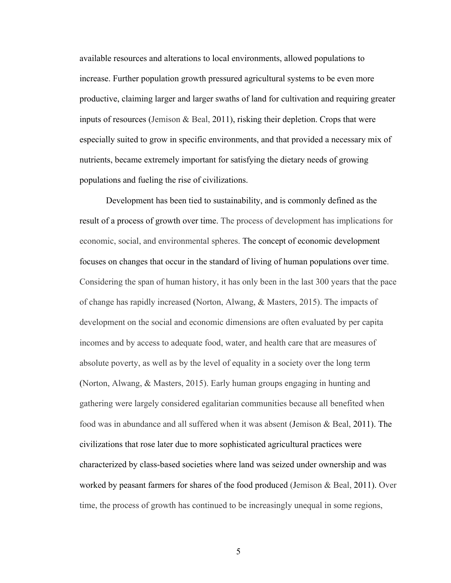available resources and alterations to local environments, allowed populations to increase. Further population growth pressured agricultural systems to be even more productive, claiming larger and larger swaths of land for cultivation and requiring greater inputs of resources (Jemison & Beal, 2011), risking their depletion. Crops that were especially suited to grow in specific environments, and that provided a necessary mix of nutrients, became extremely important for satisfying the dietary needs of growing populations and fueling the rise of civilizations.

Development has been tied to sustainability, and is commonly defined as the result of a process of growth over time. The process of development has implications for economic, social, and environmental spheres. The concept of economic development focuses on changes that occur in the standard of living of human populations over time. Considering the span of human history, it has only been in the last 300 years that the pace of change has rapidly increased (Norton, Alwang, & Masters, 2015). The impacts of development on the social and economic dimensions are often evaluated by per capita incomes and by access to adequate food, water, and health care that are measures of absolute poverty, as well as by the level of equality in a society over the long term (Norton, Alwang, & Masters, 2015). Early human groups engaging in hunting and gathering were largely considered egalitarian communities because all benefited when food was in abundance and all suffered when it was absent (Jemison & Beal, 2011). The civilizations that rose later due to more sophisticated agricultural practices were characterized by class-based societies where land was seized under ownership and was worked by peasant farmers for shares of the food produced (Jemison & Beal, 2011). Over time, the process of growth has continued to be increasingly unequal in some regions,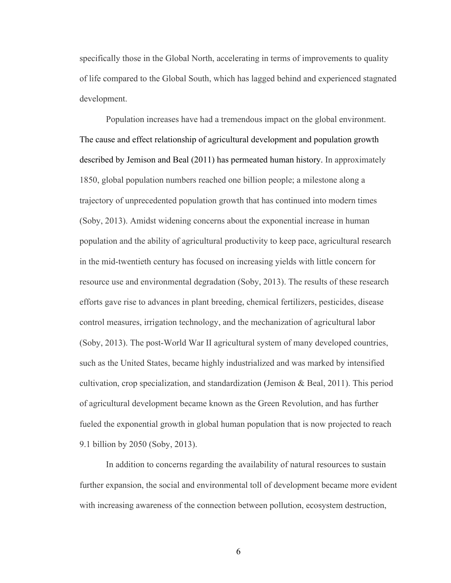specifically those in the Global North, accelerating in terms of improvements to quality of life compared to the Global South, which has lagged behind and experienced stagnated development.

Population increases have had a tremendous impact on the global environment. The cause and effect relationship of agricultural development and population growth described by Jemison and Beal (2011) has permeated human history. In approximately 1850, global population numbers reached one billion people; a milestone along a trajectory of unprecedented population growth that has continued into modern times (Soby, 2013). Amidst widening concerns about the exponential increase in human population and the ability of agricultural productivity to keep pace, agricultural research in the mid-twentieth century has focused on increasing yields with little concern for resource use and environmental degradation (Soby, 2013). The results of these research efforts gave rise to advances in plant breeding, chemical fertilizers, pesticides, disease control measures, irrigation technology, and the mechanization of agricultural labor (Soby, 2013). The post-World War II agricultural system of many developed countries, such as the United States, became highly industrialized and was marked by intensified cultivation, crop specialization, and standardization (Jemison  $\&$  Beal, 2011). This period of agricultural development became known as the Green Revolution, and has further fueled the exponential growth in global human population that is now projected to reach 9.1 billion by 2050 (Soby, 2013).

In addition to concerns regarding the availability of natural resources to sustain further expansion, the social and environmental toll of development became more evident with increasing awareness of the connection between pollution, ecosystem destruction,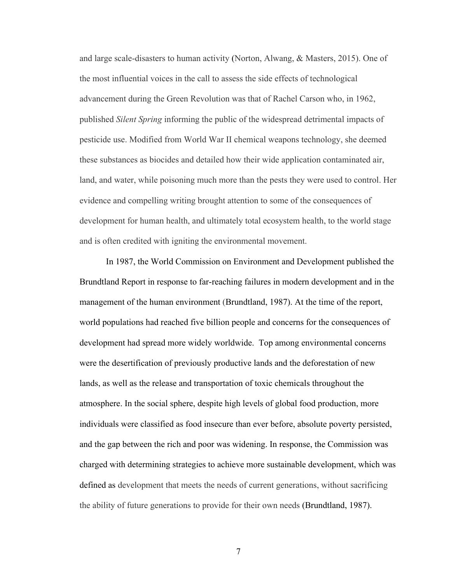and large scale-disasters to human activity (Norton, Alwang, & Masters, 2015). One of the most influential voices in the call to assess the side effects of technological advancement during the Green Revolution was that of Rachel Carson who, in 1962, published *Silent Spring* informing the public of the widespread detrimental impacts of pesticide use. Modified from World War II chemical weapons technology, she deemed these substances as biocides and detailed how their wide application contaminated air, land, and water, while poisoning much more than the pests they were used to control. Her evidence and compelling writing brought attention to some of the consequences of development for human health, and ultimately total ecosystem health, to the world stage and is often credited with igniting the environmental movement.

In 1987, the World Commission on Environment and Development published the Brundtland Report in response to far-reaching failures in modern development and in the management of the human environment (Brundtland, 1987). At the time of the report, world populations had reached five billion people and concerns for the consequences of development had spread more widely worldwide. Top among environmental concerns were the desertification of previously productive lands and the deforestation of new lands, as well as the release and transportation of toxic chemicals throughout the atmosphere. In the social sphere, despite high levels of global food production, more individuals were classified as food insecure than ever before, absolute poverty persisted, and the gap between the rich and poor was widening. In response, the Commission was charged with determining strategies to achieve more sustainable development, which was defined as development that meets the needs of current generations, without sacrificing the ability of future generations to provide for their own needs (Brundtland, 1987).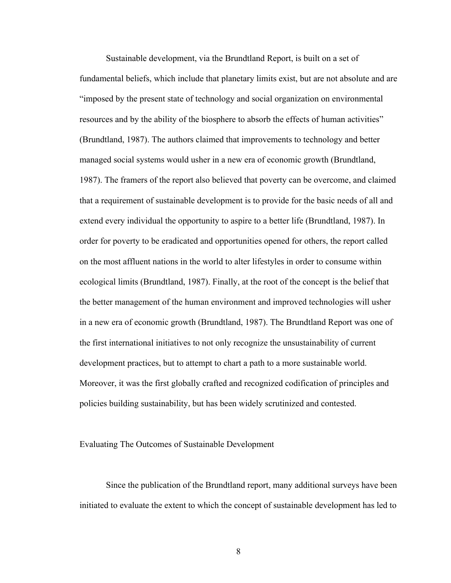Sustainable development, via the Brundtland Report, is built on a set of fundamental beliefs, which include that planetary limits exist, but are not absolute and are "imposed by the present state of technology and social organization on environmental resources and by the ability of the biosphere to absorb the effects of human activities" (Brundtland, 1987). The authors claimed that improvements to technology and better managed social systems would usher in a new era of economic growth (Brundtland, 1987). The framers of the report also believed that poverty can be overcome, and claimed that a requirement of sustainable development is to provide for the basic needs of all and extend every individual the opportunity to aspire to a better life (Brundtland, 1987). In order for poverty to be eradicated and opportunities opened for others, the report called on the most affluent nations in the world to alter lifestyles in order to consume within ecological limits (Brundtland, 1987). Finally, at the root of the concept is the belief that the better management of the human environment and improved technologies will usher in a new era of economic growth (Brundtland, 1987). The Brundtland Report was one of the first international initiatives to not only recognize the unsustainability of current development practices, but to attempt to chart a path to a more sustainable world. Moreover, it was the first globally crafted and recognized codification of principles and policies building sustainability, but has been widely scrutinized and contested.

#### Evaluating The Outcomes of Sustainable Development

Since the publication of the Brundtland report, many additional surveys have been initiated to evaluate the extent to which the concept of sustainable development has led to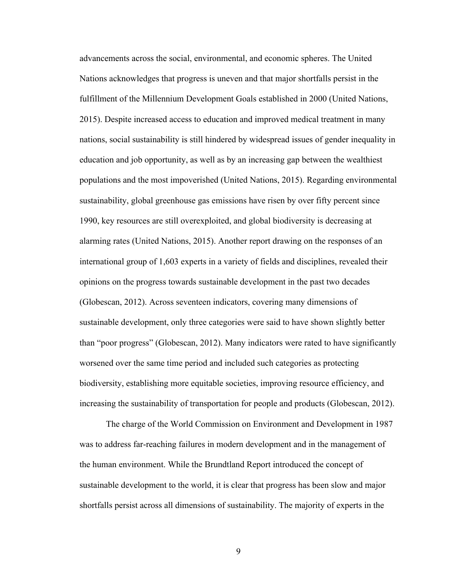advancements across the social, environmental, and economic spheres. The United Nations acknowledges that progress is uneven and that major shortfalls persist in the fulfillment of the Millennium Development Goals established in 2000 (United Nations, 2015). Despite increased access to education and improved medical treatment in many nations, social sustainability is still hindered by widespread issues of gender inequality in education and job opportunity, as well as by an increasing gap between the wealthiest populations and the most impoverished (United Nations, 2015). Regarding environmental sustainability, global greenhouse gas emissions have risen by over fifty percent since 1990, key resources are still overexploited, and global biodiversity is decreasing at alarming rates (United Nations, 2015). Another report drawing on the responses of an international group of 1,603 experts in a variety of fields and disciplines, revealed their opinions on the progress towards sustainable development in the past two decades (Globescan, 2012). Across seventeen indicators, covering many dimensions of sustainable development, only three categories were said to have shown slightly better than "poor progress" (Globescan, 2012). Many indicators were rated to have significantly worsened over the same time period and included such categories as protecting biodiversity, establishing more equitable societies, improving resource efficiency, and increasing the sustainability of transportation for people and products (Globescan, 2012).

The charge of the World Commission on Environment and Development in 1987 was to address far-reaching failures in modern development and in the management of the human environment. While the Brundtland Report introduced the concept of sustainable development to the world, it is clear that progress has been slow and major shortfalls persist across all dimensions of sustainability. The majority of experts in the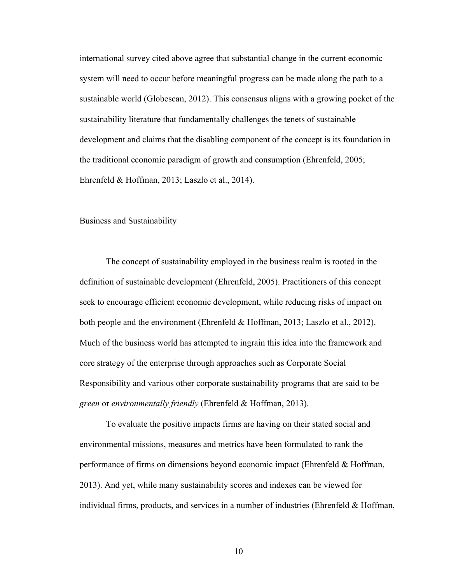international survey cited above agree that substantial change in the current economic system will need to occur before meaningful progress can be made along the path to a sustainable world (Globescan, 2012). This consensus aligns with a growing pocket of the sustainability literature that fundamentally challenges the tenets of sustainable development and claims that the disabling component of the concept is its foundation in the traditional economic paradigm of growth and consumption (Ehrenfeld, 2005; Ehrenfeld & Hoffman, 2013; Laszlo et al., 2014).

#### Business and Sustainability

The concept of sustainability employed in the business realm is rooted in the definition of sustainable development (Ehrenfeld, 2005). Practitioners of this concept seek to encourage efficient economic development, while reducing risks of impact on both people and the environment (Ehrenfeld & Hoffman, 2013; Laszlo et al., 2012). Much of the business world has attempted to ingrain this idea into the framework and core strategy of the enterprise through approaches such as Corporate Social Responsibility and various other corporate sustainability programs that are said to be *green* or *environmentally friendly* (Ehrenfeld & Hoffman, 2013).

To evaluate the positive impacts firms are having on their stated social and environmental missions, measures and metrics have been formulated to rank the performance of firms on dimensions beyond economic impact (Ehrenfeld & Hoffman, 2013). And yet, while many sustainability scores and indexes can be viewed for individual firms, products, and services in a number of industries (Ehrenfeld  $\&$  Hoffman,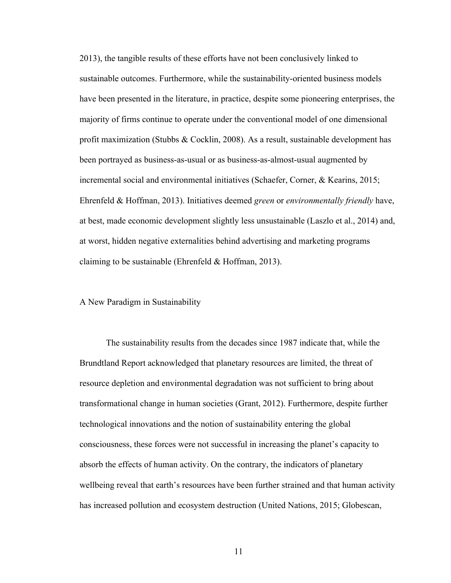2013), the tangible results of these efforts have not been conclusively linked to sustainable outcomes. Furthermore, while the sustainability-oriented business models have been presented in the literature, in practice, despite some pioneering enterprises, the majority of firms continue to operate under the conventional model of one dimensional profit maximization (Stubbs & Cocklin, 2008). As a result, sustainable development has been portrayed as business-as-usual or as business-as-almost-usual augmented by incremental social and environmental initiatives (Schaefer, Corner, & Kearins, 2015; Ehrenfeld & Hoffman, 2013). Initiatives deemed *green* or *environmentally friendly* have, at best, made economic development slightly less unsustainable (Laszlo et al., 2014) and, at worst, hidden negative externalities behind advertising and marketing programs claiming to be sustainable (Ehrenfeld  $&$  Hoffman, 2013).

#### A New Paradigm in Sustainability

The sustainability results from the decades since 1987 indicate that, while the Brundtland Report acknowledged that planetary resources are limited, the threat of resource depletion and environmental degradation was not sufficient to bring about transformational change in human societies (Grant, 2012). Furthermore, despite further technological innovations and the notion of sustainability entering the global consciousness, these forces were not successful in increasing the planet's capacity to absorb the effects of human activity. On the contrary, the indicators of planetary wellbeing reveal that earth's resources have been further strained and that human activity has increased pollution and ecosystem destruction (United Nations, 2015; Globescan,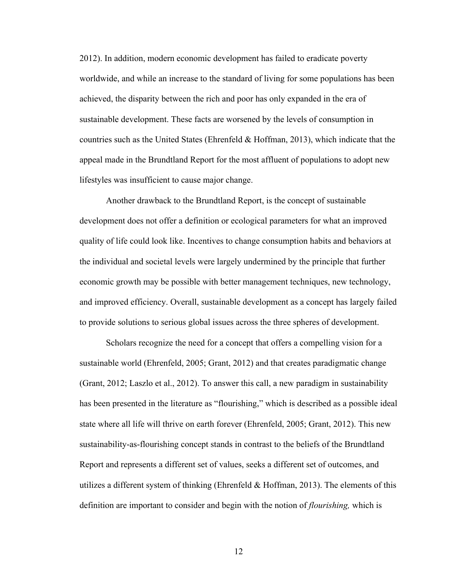2012). In addition, modern economic development has failed to eradicate poverty worldwide, and while an increase to the standard of living for some populations has been achieved, the disparity between the rich and poor has only expanded in the era of sustainable development. These facts are worsened by the levels of consumption in countries such as the United States (Ehrenfeld  $&$  Hoffman, 2013), which indicate that the appeal made in the Brundtland Report for the most affluent of populations to adopt new lifestyles was insufficient to cause major change.

Another drawback to the Brundtland Report, is the concept of sustainable development does not offer a definition or ecological parameters for what an improved quality of life could look like. Incentives to change consumption habits and behaviors at the individual and societal levels were largely undermined by the principle that further economic growth may be possible with better management techniques, new technology, and improved efficiency. Overall, sustainable development as a concept has largely failed to provide solutions to serious global issues across the three spheres of development.

Scholars recognize the need for a concept that offers a compelling vision for a sustainable world (Ehrenfeld, 2005; Grant, 2012) and that creates paradigmatic change (Grant, 2012; Laszlo et al., 2012). To answer this call, a new paradigm in sustainability has been presented in the literature as "flourishing," which is described as a possible ideal state where all life will thrive on earth forever (Ehrenfeld, 2005; Grant, 2012). This new sustainability-as-flourishing concept stands in contrast to the beliefs of the Brundtland Report and represents a different set of values, seeks a different set of outcomes, and utilizes a different system of thinking (Ehrenfeld  $&$  Hoffman, 2013). The elements of this definition are important to consider and begin with the notion of *flourishing,* which is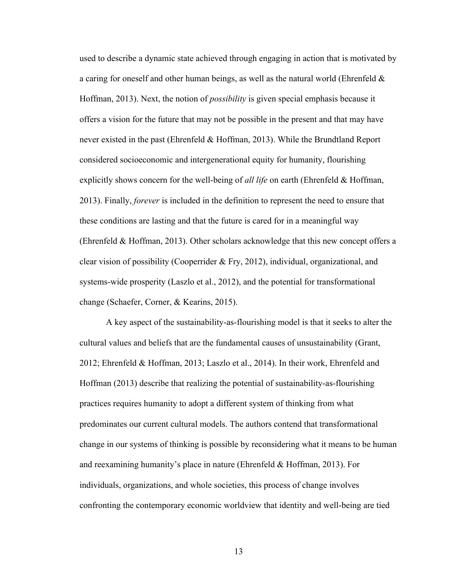used to describe a dynamic state achieved through engaging in action that is motivated by a caring for oneself and other human beings, as well as the natural world (Ehrenfeld  $\&$ Hoffman, 2013). Next, the notion of *possibility* is given special emphasis because it offers a vision for the future that may not be possible in the present and that may have never existed in the past (Ehrenfeld & Hoffman, 2013). While the Brundtland Report considered socioeconomic and intergenerational equity for humanity, flourishing explicitly shows concern for the well-being of *all life* on earth (Ehrenfeld & Hoffman, 2013). Finally, *forever* is included in the definition to represent the need to ensure that these conditions are lasting and that the future is cared for in a meaningful way (Ehrenfeld & Hoffman, 2013). Other scholars acknowledge that this new concept offers a clear vision of possibility (Cooperrider & Fry, 2012), individual, organizational, and systems-wide prosperity (Laszlo et al., 2012), and the potential for transformational change (Schaefer, Corner, & Kearins, 2015).

A key aspect of the sustainability-as-flourishing model is that it seeks to alter the cultural values and beliefs that are the fundamental causes of unsustainability (Grant, 2012; Ehrenfeld & Hoffman, 2013; Laszlo et al., 2014). In their work, Ehrenfeld and Hoffman (2013) describe that realizing the potential of sustainability-as-flourishing practices requires humanity to adopt a different system of thinking from what predominates our current cultural models. The authors contend that transformational change in our systems of thinking is possible by reconsidering what it means to be human and reexamining humanity's place in nature (Ehrenfeld & Hoffman, 2013). For individuals, organizations, and whole societies, this process of change involves confronting the contemporary economic worldview that identity and well-being are tied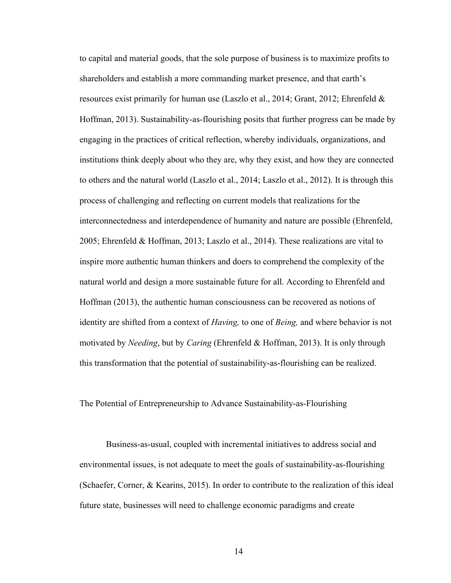to capital and material goods, that the sole purpose of business is to maximize profits to shareholders and establish a more commanding market presence, and that earth's resources exist primarily for human use (Laszlo et al., 2014; Grant, 2012; Ehrenfeld & Hoffman, 2013). Sustainability-as-flourishing posits that further progress can be made by engaging in the practices of critical reflection, whereby individuals, organizations, and institutions think deeply about who they are, why they exist, and how they are connected to others and the natural world (Laszlo et al., 2014; Laszlo et al., 2012). It is through this process of challenging and reflecting on current models that realizations for the interconnectedness and interdependence of humanity and nature are possible (Ehrenfeld, 2005; Ehrenfeld & Hoffman, 2013; Laszlo et al., 2014). These realizations are vital to inspire more authentic human thinkers and doers to comprehend the complexity of the natural world and design a more sustainable future for all. According to Ehrenfeld and Hoffman (2013), the authentic human consciousness can be recovered as notions of identity are shifted from a context of *Having,* to one of *Being,* and where behavior is not motivated by *Needing*, but by *Caring* (Ehrenfeld & Hoffman, 2013). It is only through this transformation that the potential of sustainability-as-flourishing can be realized.

The Potential of Entrepreneurship to Advance Sustainability-as-Flourishing

Business-as-usual, coupled with incremental initiatives to address social and environmental issues, is not adequate to meet the goals of sustainability-as-flourishing (Schaefer, Corner, & Kearins, 2015). In order to contribute to the realization of this ideal future state, businesses will need to challenge economic paradigms and create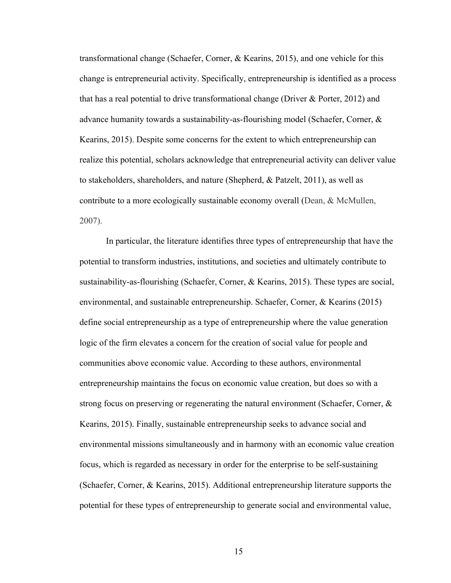transformational change (Schaefer, Corner, & Kearins, 2015), and one vehicle for this change is entrepreneurial activity. Specifically, entrepreneurship is identified as a process that has a real potential to drive transformational change (Driver  $\&$  Porter, 2012) and advance humanity towards a sustainability-as-flourishing model (Schaefer, Corner, & Kearins, 2015). Despite some concerns for the extent to which entrepreneurship can realize this potential, scholars acknowledge that entrepreneurial activity can deliver value to stakeholders, shareholders, and nature (Shepherd, & Patzelt, 2011), as well as contribute to a more ecologically sustainable economy overall (Dean, & McMullen, 2007).

In particular, the literature identifies three types of entrepreneurship that have the potential to transform industries, institutions, and societies and ultimately contribute to sustainability-as-flourishing (Schaefer, Corner, & Kearins, 2015). These types are social, environmental, and sustainable entrepreneurship. Schaefer, Corner, & Kearins (2015) define social entrepreneurship as a type of entrepreneurship where the value generation logic of the firm elevates a concern for the creation of social value for people and communities above economic value. According to these authors, environmental entrepreneurship maintains the focus on economic value creation, but does so with a strong focus on preserving or regenerating the natural environment (Schaefer, Corner, & Kearins, 2015). Finally, sustainable entrepreneurship seeks to advance social and environmental missions simultaneously and in harmony with an economic value creation focus, which is regarded as necessary in order for the enterprise to be self-sustaining (Schaefer, Corner, & Kearins, 2015). Additional entrepreneurship literature supports the potential for these types of entrepreneurship to generate social and environmental value,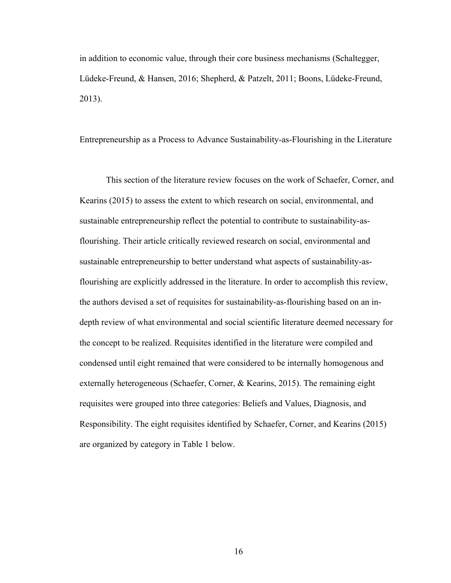in addition to economic value, through their core business mechanisms (Schaltegger, Lüdeke-Freund, & Hansen, 2016; Shepherd, & Patzelt, 2011; Boons, Lüdeke-Freund, 2013).

Entrepreneurship as a Process to Advance Sustainability-as-Flourishing in the Literature

This section of the literature review focuses on the work of Schaefer, Corner, and Kearins (2015) to assess the extent to which research on social, environmental, and sustainable entrepreneurship reflect the potential to contribute to sustainability-asflourishing. Their article critically reviewed research on social, environmental and sustainable entrepreneurship to better understand what aspects of sustainability-asflourishing are explicitly addressed in the literature. In order to accomplish this review, the authors devised a set of requisites for sustainability-as-flourishing based on an indepth review of what environmental and social scientific literature deemed necessary for the concept to be realized. Requisites identified in the literature were compiled and condensed until eight remained that were considered to be internally homogenous and externally heterogeneous (Schaefer, Corner, & Kearins, 2015). The remaining eight requisites were grouped into three categories: Beliefs and Values, Diagnosis, and Responsibility. The eight requisites identified by Schaefer, Corner, and Kearins (2015) are organized by category in Table 1 below.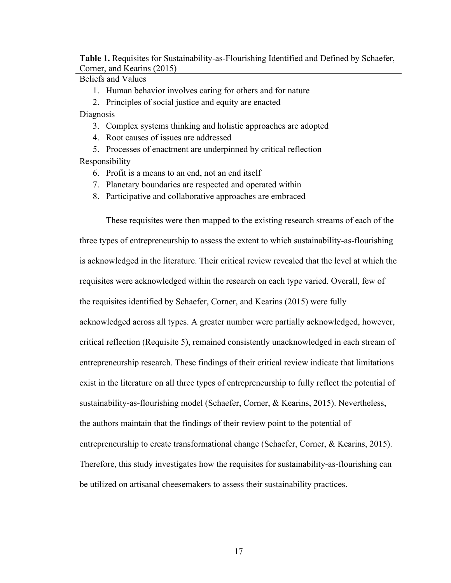**Table 1.** Requisites for Sustainability-as-Flourishing Identified and Defined by Schaefer, Corner, and Kearins (2015)

Beliefs and Values

- 1. Human behavior involves caring for others and for nature
- 2. Principles of social justice and equity are enacted

Diagnosis

- 3. Complex systems thinking and holistic approaches are adopted
- 4. Root causes of issues are addressed
- 5. Processes of enactment are underpinned by critical reflection

Responsibility

- 6. Profit is a means to an end, not an end itself
- 7. Planetary boundaries are respected and operated within
- 8. Participative and collaborative approaches are embraced

These requisites were then mapped to the existing research streams of each of the three types of entrepreneurship to assess the extent to which sustainability-as-flourishing is acknowledged in the literature. Their critical review revealed that the level at which the requisites were acknowledged within the research on each type varied. Overall, few of the requisites identified by Schaefer, Corner, and Kearins (2015) were fully acknowledged across all types. A greater number were partially acknowledged, however, critical reflection (Requisite 5), remained consistently unacknowledged in each stream of entrepreneurship research. These findings of their critical review indicate that limitations exist in the literature on all three types of entrepreneurship to fully reflect the potential of sustainability-as-flourishing model (Schaefer, Corner, & Kearins, 2015). Nevertheless, the authors maintain that the findings of their review point to the potential of entrepreneurship to create transformational change (Schaefer, Corner, & Kearins, 2015). Therefore, this study investigates how the requisites for sustainability-as-flourishing can be utilized on artisanal cheesemakers to assess their sustainability practices.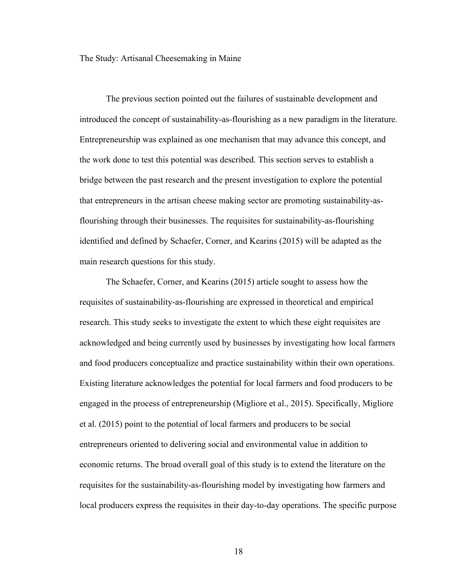The Study: Artisanal Cheesemaking in Maine

The previous section pointed out the failures of sustainable development and introduced the concept of sustainability-as-flourishing as a new paradigm in the literature. Entrepreneurship was explained as one mechanism that may advance this concept, and the work done to test this potential was described. This section serves to establish a bridge between the past research and the present investigation to explore the potential that entrepreneurs in the artisan cheese making sector are promoting sustainability-asflourishing through their businesses. The requisites for sustainability-as-flourishing identified and defined by Schaefer, Corner, and Kearins (2015) will be adapted as the main research questions for this study.

The Schaefer, Corner, and Kearins (2015) article sought to assess how the requisites of sustainability-as-flourishing are expressed in theoretical and empirical research. This study seeks to investigate the extent to which these eight requisites are acknowledged and being currently used by businesses by investigating how local farmers and food producers conceptualize and practice sustainability within their own operations. Existing literature acknowledges the potential for local farmers and food producers to be engaged in the process of entrepreneurship (Migliore et al., 2015). Specifically, Migliore et al. (2015) point to the potential of local farmers and producers to be social entrepreneurs oriented to delivering social and environmental value in addition to economic returns. The broad overall goal of this study is to extend the literature on the requisites for the sustainability-as-flourishing model by investigating how farmers and local producers express the requisites in their day-to-day operations. The specific purpose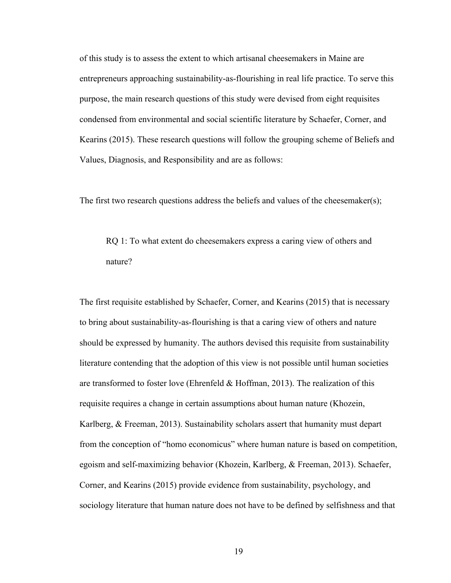of this study is to assess the extent to which artisanal cheesemakers in Maine are entrepreneurs approaching sustainability-as-flourishing in real life practice. To serve this purpose, the main research questions of this study were devised from eight requisites condensed from environmental and social scientific literature by Schaefer, Corner, and Kearins (2015). These research questions will follow the grouping scheme of Beliefs and Values, Diagnosis, and Responsibility and are as follows:

The first two research questions address the beliefs and values of the cheesemaker(s);

RQ 1: To what extent do cheesemakers express a caring view of others and nature?

The first requisite established by Schaefer, Corner, and Kearins (2015) that is necessary to bring about sustainability-as-flourishing is that a caring view of others and nature should be expressed by humanity. The authors devised this requisite from sustainability literature contending that the adoption of this view is not possible until human societies are transformed to foster love (Ehrenfeld  $\&$  Hoffman, 2013). The realization of this requisite requires a change in certain assumptions about human nature (Khozein, Karlberg, & Freeman, 2013). Sustainability scholars assert that humanity must depart from the conception of "homo economicus" where human nature is based on competition, egoism and self-maximizing behavior (Khozein, Karlberg, & Freeman, 2013). Schaefer, Corner, and Kearins (2015) provide evidence from sustainability, psychology, and sociology literature that human nature does not have to be defined by selfishness and that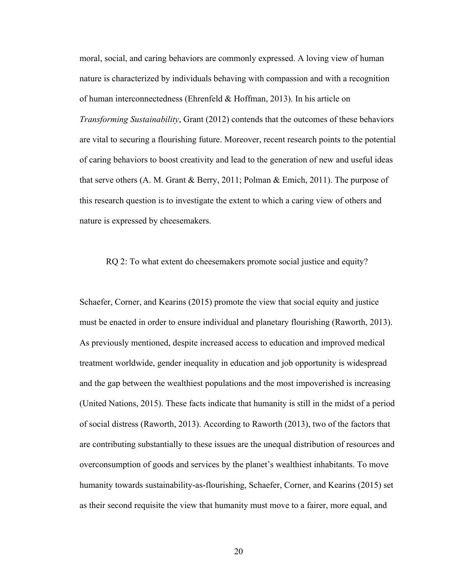moral, social, and caring behaviors are commonly expressed. A loving view of human nature is characterized by individuals behaving with compassion and with a recognition of human interconnectedness (Ehrenfeld & Hoffman, 2013). In his article on *Transforming Sustainability*, Grant (2012) contends that the outcomes of these behaviors are vital to securing a flourishing future. Moreover, recent research points to the potential of caring behaviors to boost creativity and lead to the generation of new and useful ideas that serve others (A. M. Grant & Berry, 2011; Polman & Emich, 2011). The purpose of this research question is to investigate the extent to which a caring view of others and nature is expressed by cheesemakers.

#### RQ 2: To what extent do cheesemakers promote social justice and equity?

Schaefer, Corner, and Kearins (2015) promote the view that social equity and justice must be enacted in order to ensure individual and planetary flourishing (Raworth, 2013). As previously mentioned, despite increased access to education and improved medical treatment worldwide, gender inequality in education and job opportunity is widespread and the gap between the wealthiest populations and the most impoverished is increasing (United Nations, 2015). These facts indicate that humanity is still in the midst of a period of social distress (Raworth, 2013). According to Raworth (2013), two of the factors that are contributing substantially to these issues are the unequal distribution of resources and overconsumption of goods and services by the planet's wealthiest inhabitants. To move humanity towards sustainability-as-flourishing, Schaefer, Corner, and Kearins (2015) set as their second requisite the view that humanity must move to a fairer, more equal, and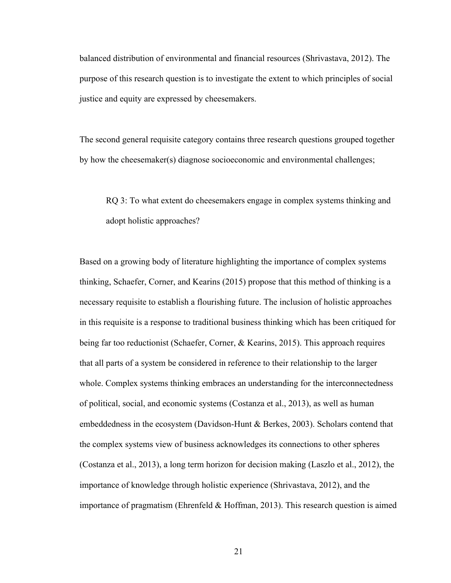balanced distribution of environmental and financial resources (Shrivastava, 2012). The purpose of this research question is to investigate the extent to which principles of social justice and equity are expressed by cheesemakers.

The second general requisite category contains three research questions grouped together by how the cheesemaker(s) diagnose socioeconomic and environmental challenges;

RQ 3: To what extent do cheesemakers engage in complex systems thinking and adopt holistic approaches?

Based on a growing body of literature highlighting the importance of complex systems thinking, Schaefer, Corner, and Kearins (2015) propose that this method of thinking is a necessary requisite to establish a flourishing future. The inclusion of holistic approaches in this requisite is a response to traditional business thinking which has been critiqued for being far too reductionist (Schaefer, Corner, & Kearins, 2015). This approach requires that all parts of a system be considered in reference to their relationship to the larger whole. Complex systems thinking embraces an understanding for the interconnectedness of political, social, and economic systems (Costanza et al., 2013), as well as human embeddedness in the ecosystem (Davidson-Hunt & Berkes, 2003). Scholars contend that the complex systems view of business acknowledges its connections to other spheres (Costanza et al., 2013), a long term horizon for decision making (Laszlo et al., 2012), the importance of knowledge through holistic experience (Shrivastava, 2012), and the importance of pragmatism (Ehrenfeld & Hoffman, 2013). This research question is aimed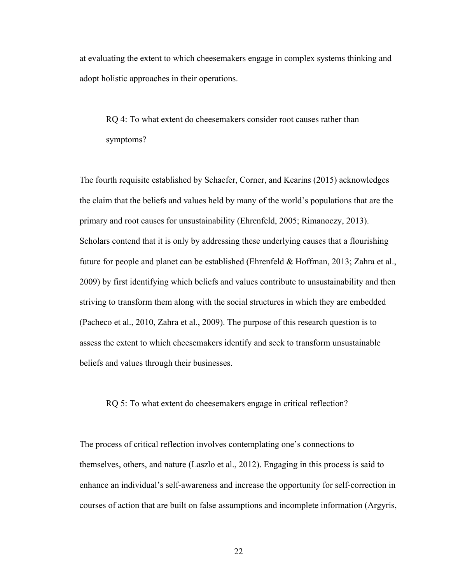at evaluating the extent to which cheesemakers engage in complex systems thinking and adopt holistic approaches in their operations.

RQ 4: To what extent do cheesemakers consider root causes rather than symptoms?

The fourth requisite established by Schaefer, Corner, and Kearins (2015) acknowledges the claim that the beliefs and values held by many of the world's populations that are the primary and root causes for unsustainability (Ehrenfeld, 2005; Rimanoczy, 2013). Scholars contend that it is only by addressing these underlying causes that a flourishing future for people and planet can be established (Ehrenfeld  $\&$  Hoffman, 2013; Zahra et al., 2009) by first identifying which beliefs and values contribute to unsustainability and then striving to transform them along with the social structures in which they are embedded (Pacheco et al., 2010, Zahra et al., 2009). The purpose of this research question is to assess the extent to which cheesemakers identify and seek to transform unsustainable beliefs and values through their businesses.

RQ 5: To what extent do cheesemakers engage in critical reflection?

The process of critical reflection involves contemplating one's connections to themselves, others, and nature (Laszlo et al., 2012). Engaging in this process is said to enhance an individual's self-awareness and increase the opportunity for self-correction in courses of action that are built on false assumptions and incomplete information (Argyris,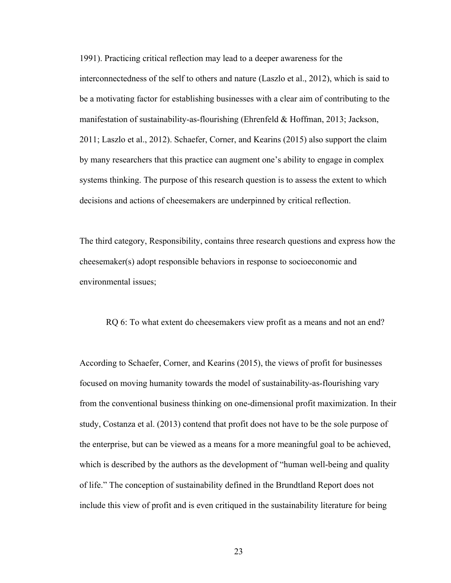1991). Practicing critical reflection may lead to a deeper awareness for the interconnectedness of the self to others and nature (Laszlo et al., 2012), which is said to be a motivating factor for establishing businesses with a clear aim of contributing to the manifestation of sustainability-as-flourishing (Ehrenfeld & Hoffman, 2013; Jackson, 2011; Laszlo et al., 2012). Schaefer, Corner, and Kearins (2015) also support the claim by many researchers that this practice can augment one's ability to engage in complex systems thinking. The purpose of this research question is to assess the extent to which decisions and actions of cheesemakers are underpinned by critical reflection.

The third category, Responsibility, contains three research questions and express how the cheesemaker(s) adopt responsible behaviors in response to socioeconomic and environmental issues;

RQ 6: To what extent do cheesemakers view profit as a means and not an end?

According to Schaefer, Corner, and Kearins (2015), the views of profit for businesses focused on moving humanity towards the model of sustainability-as-flourishing vary from the conventional business thinking on one-dimensional profit maximization. In their study, Costanza et al. (2013) contend that profit does not have to be the sole purpose of the enterprise, but can be viewed as a means for a more meaningful goal to be achieved, which is described by the authors as the development of "human well-being and quality of life." The conception of sustainability defined in the Brundtland Report does not include this view of profit and is even critiqued in the sustainability literature for being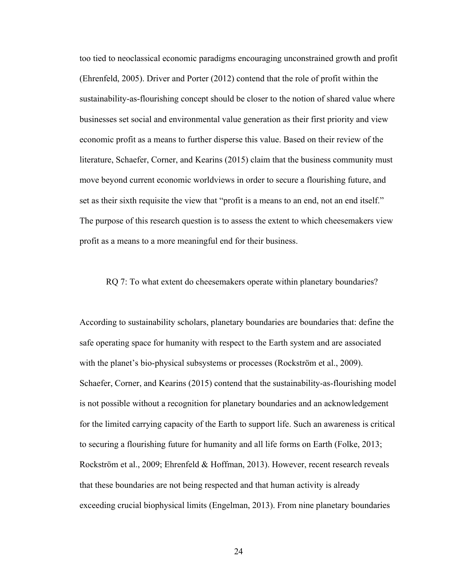too tied to neoclassical economic paradigms encouraging unconstrained growth and profit (Ehrenfeld, 2005). Driver and Porter (2012) contend that the role of profit within the sustainability-as-flourishing concept should be closer to the notion of shared value where businesses set social and environmental value generation as their first priority and view economic profit as a means to further disperse this value. Based on their review of the literature, Schaefer, Corner, and Kearins (2015) claim that the business community must move beyond current economic worldviews in order to secure a flourishing future, and set as their sixth requisite the view that "profit is a means to an end, not an end itself." The purpose of this research question is to assess the extent to which cheesemakers view profit as a means to a more meaningful end for their business.

#### RQ 7: To what extent do cheesemakers operate within planetary boundaries?

According to sustainability scholars, planetary boundaries are boundaries that: define the safe operating space for humanity with respect to the Earth system and are associated with the planet's bio-physical subsystems or processes (Rockström et al., 2009). Schaefer, Corner, and Kearins (2015) contend that the sustainability-as-flourishing model is not possible without a recognition for planetary boundaries and an acknowledgement for the limited carrying capacity of the Earth to support life. Such an awareness is critical to securing a flourishing future for humanity and all life forms on Earth (Folke, 2013; Rockström et al., 2009; Ehrenfeld & Hoffman, 2013). However, recent research reveals that these boundaries are not being respected and that human activity is already exceeding crucial biophysical limits (Engelman, 2013). From nine planetary boundaries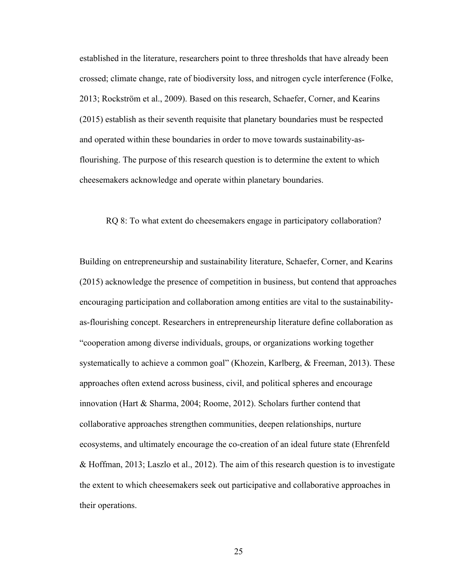established in the literature, researchers point to three thresholds that have already been crossed; climate change, rate of biodiversity loss, and nitrogen cycle interference (Folke, 2013; Rockström et al., 2009). Based on this research, Schaefer, Corner, and Kearins (2015) establish as their seventh requisite that planetary boundaries must be respected and operated within these boundaries in order to move towards sustainability-asflourishing. The purpose of this research question is to determine the extent to which cheesemakers acknowledge and operate within planetary boundaries.

#### RQ 8: To what extent do cheesemakers engage in participatory collaboration?

Building on entrepreneurship and sustainability literature, Schaefer, Corner, and Kearins (2015) acknowledge the presence of competition in business, but contend that approaches encouraging participation and collaboration among entities are vital to the sustainabilityas-flourishing concept. Researchers in entrepreneurship literature define collaboration as "cooperation among diverse individuals, groups, or organizations working together systematically to achieve a common goal" (Khozein, Karlberg, & Freeman, 2013). These approaches often extend across business, civil, and political spheres and encourage innovation (Hart & Sharma, 2004; Roome, 2012). Scholars further contend that collaborative approaches strengthen communities, deepen relationships, nurture ecosystems, and ultimately encourage the co-creation of an ideal future state (Ehrenfeld & Hoffman, 2013; Laszlo et al., 2012). The aim of this research question is to investigate the extent to which cheesemakers seek out participative and collaborative approaches in their operations.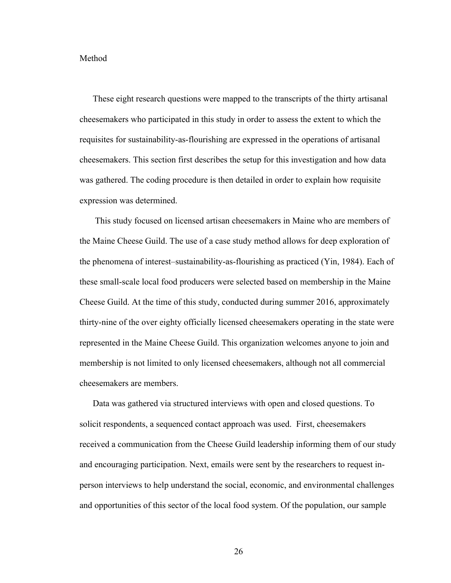#### Method

These eight research questions were mapped to the transcripts of the thirty artisanal cheesemakers who participated in this study in order to assess the extent to which the requisites for sustainability-as-flourishing are expressed in the operations of artisanal cheesemakers. This section first describes the setup for this investigation and how data was gathered. The coding procedure is then detailed in order to explain how requisite expression was determined.

This study focused on licensed artisan cheesemakers in Maine who are members of the Maine Cheese Guild. The use of a case study method allows for deep exploration of the phenomena of interest–sustainability-as-flourishing as practiced (Yin, 1984). Each of these small-scale local food producers were selected based on membership in the Maine Cheese Guild. At the time of this study, conducted during summer 2016, approximately thirty-nine of the over eighty officially licensed cheesemakers operating in the state were represented in the Maine Cheese Guild. This organization welcomes anyone to join and membership is not limited to only licensed cheesemakers, although not all commercial cheesemakers are members.

Data was gathered via structured interviews with open and closed questions. To solicit respondents, a sequenced contact approach was used. First, cheesemakers received a communication from the Cheese Guild leadership informing them of our study and encouraging participation. Next, emails were sent by the researchers to request inperson interviews to help understand the social, economic, and environmental challenges and opportunities of this sector of the local food system. Of the population, our sample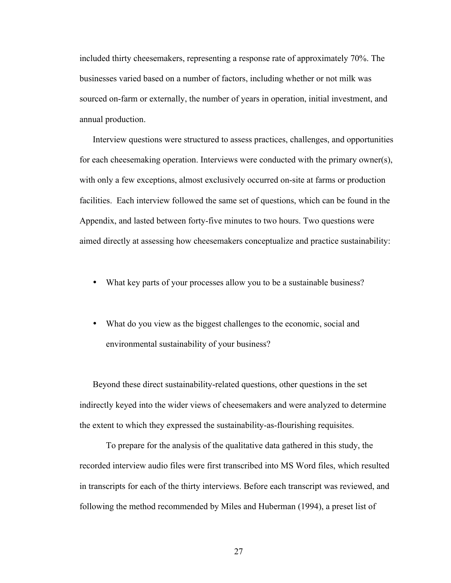included thirty cheesemakers, representing a response rate of approximately 70%. The businesses varied based on a number of factors, including whether or not milk was sourced on-farm or externally, the number of years in operation, initial investment, and annual production.

Interview questions were structured to assess practices, challenges, and opportunities for each cheesemaking operation. Interviews were conducted with the primary owner(s), with only a few exceptions, almost exclusively occurred on-site at farms or production facilities. Each interview followed the same set of questions, which can be found in the Appendix, and lasted between forty-five minutes to two hours. Two questions were aimed directly at assessing how cheesemakers conceptualize and practice sustainability:

- What key parts of your processes allow you to be a sustainable business?
- What do you view as the biggest challenges to the economic, social and environmental sustainability of your business?

Beyond these direct sustainability-related questions, other questions in the set indirectly keyed into the wider views of cheesemakers and were analyzed to determine the extent to which they expressed the sustainability-as-flourishing requisites.

To prepare for the analysis of the qualitative data gathered in this study, the recorded interview audio files were first transcribed into MS Word files, which resulted in transcripts for each of the thirty interviews. Before each transcript was reviewed, and following the method recommended by Miles and Huberman (1994), a preset list of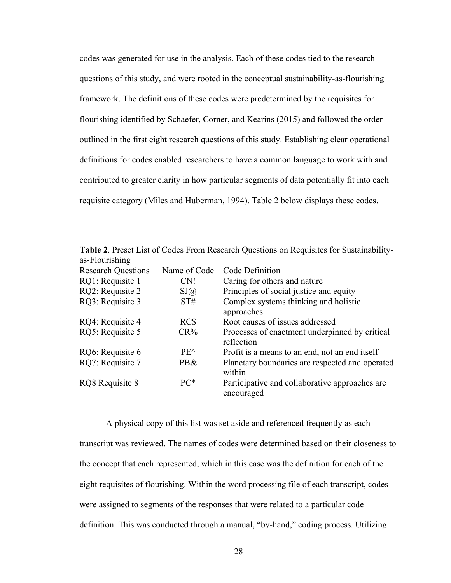codes was generated for use in the analysis. Each of these codes tied to the research questions of this study, and were rooted in the conceptual sustainability-as-flourishing framework. The definitions of these codes were predetermined by the requisites for flourishing identified by Schaefer, Corner, and Kearins (2015) and followed the order outlined in the first eight research questions of this study. Establishing clear operational definitions for codes enabled researchers to have a common language to work with and contributed to greater clarity in how particular segments of data potentially fit into each requisite category (Miles and Huberman, 1994). Table 2 below displays these codes.

**Table 2**. Preset List of Codes From Research Questions on Requisites for Sustainabilityas-Flourishing Research Questions Name of Code Code Definition RQ1: Requisite 1 CN! Caring for others and nature

| RQ1: Requisite 1 | CN!           | Caring for others and nature                                 |
|------------------|---------------|--------------------------------------------------------------|
| RQ2: Requisite 2 | SJ(a)         | Principles of social justice and equity                      |
| RQ3: Requisite 3 | ST#           | Complex systems thinking and holistic<br>approaches          |
| RQ4: Requisite 4 | RC\$          | Root causes of issues addressed                              |
| RQ5: Requisite 5 | $CR\%$        | Processes of enactment underpinned by critical<br>reflection |
| RQ6: Requisite 6 | $PE^{\wedge}$ | Profit is a means to an end, not an end itself               |
| RQ7: Requisite 7 | PB&           | Planetary boundaries are respected and operated<br>within    |
| RQ8 Requisite 8  | $PC*$         | Participative and collaborative approaches are<br>encouraged |

A physical copy of this list was set aside and referenced frequently as each transcript was reviewed. The names of codes were determined based on their closeness to the concept that each represented, which in this case was the definition for each of the eight requisites of flourishing. Within the word processing file of each transcript, codes were assigned to segments of the responses that were related to a particular code definition. This was conducted through a manual, "by-hand," coding process. Utilizing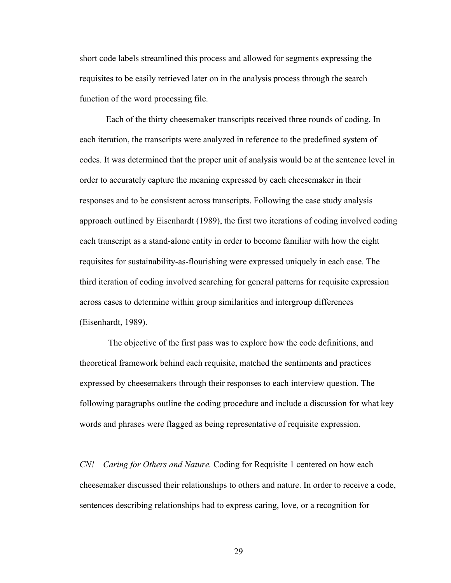short code labels streamlined this process and allowed for segments expressing the requisites to be easily retrieved later on in the analysis process through the search function of the word processing file.

Each of the thirty cheesemaker transcripts received three rounds of coding. In each iteration, the transcripts were analyzed in reference to the predefined system of codes. It was determined that the proper unit of analysis would be at the sentence level in order to accurately capture the meaning expressed by each cheesemaker in their responses and to be consistent across transcripts. Following the case study analysis approach outlined by Eisenhardt (1989), the first two iterations of coding involved coding each transcript as a stand-alone entity in order to become familiar with how the eight requisites for sustainability-as-flourishing were expressed uniquely in each case. The third iteration of coding involved searching for general patterns for requisite expression across cases to determine within group similarities and intergroup differences (Eisenhardt, 1989).

The objective of the first pass was to explore how the code definitions, and theoretical framework behind each requisite, matched the sentiments and practices expressed by cheesemakers through their responses to each interview question. The following paragraphs outline the coding procedure and include a discussion for what key words and phrases were flagged as being representative of requisite expression.

*CN! – Caring for Others and Nature.* Coding for Requisite 1 centered on how each cheesemaker discussed their relationships to others and nature. In order to receive a code, sentences describing relationships had to express caring, love, or a recognition for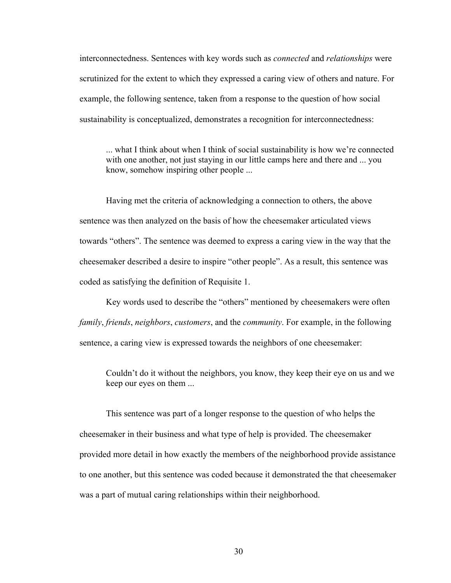interconnectedness. Sentences with key words such as *connected* and *relationships* were scrutinized for the extent to which they expressed a caring view of others and nature. For example, the following sentence, taken from a response to the question of how social sustainability is conceptualized, demonstrates a recognition for interconnectedness:

... what I think about when I think of social sustainability is how we're connected with one another, not just staying in our little camps here and there and ... you know, somehow inspiring other people ...

Having met the criteria of acknowledging a connection to others, the above sentence was then analyzed on the basis of how the cheesemaker articulated views towards "others". The sentence was deemed to express a caring view in the way that the cheesemaker described a desire to inspire "other people". As a result, this sentence was coded as satisfying the definition of Requisite 1.

Key words used to describe the "others" mentioned by cheesemakers were often *family*, *friends*, *neighbors*, *customers*, and the *community*. For example, in the following sentence, a caring view is expressed towards the neighbors of one cheesemaker:

Couldn't do it without the neighbors, you know, they keep their eye on us and we keep our eyes on them ...

This sentence was part of a longer response to the question of who helps the cheesemaker in their business and what type of help is provided. The cheesemaker provided more detail in how exactly the members of the neighborhood provide assistance to one another, but this sentence was coded because it demonstrated the that cheesemaker was a part of mutual caring relationships within their neighborhood.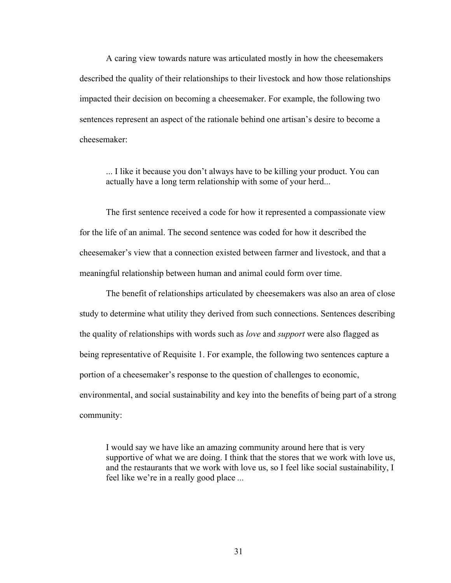A caring view towards nature was articulated mostly in how the cheesemakers described the quality of their relationships to their livestock and how those relationships impacted their decision on becoming a cheesemaker. For example, the following two sentences represent an aspect of the rationale behind one artisan's desire to become a cheesemaker:

... I like it because you don't always have to be killing your product. You can actually have a long term relationship with some of your herd...

The first sentence received a code for how it represented a compassionate view for the life of an animal. The second sentence was coded for how it described the cheesemaker's view that a connection existed between farmer and livestock, and that a meaningful relationship between human and animal could form over time.

The benefit of relationships articulated by cheesemakers was also an area of close study to determine what utility they derived from such connections. Sentences describing the quality of relationships with words such as *love* and *support* were also flagged as being representative of Requisite 1. For example, the following two sentences capture a portion of a cheesemaker's response to the question of challenges to economic, environmental, and social sustainability and key into the benefits of being part of a strong community:

I would say we have like an amazing community around here that is very supportive of what we are doing. I think that the stores that we work with love us, and the restaurants that we work with love us, so I feel like social sustainability, I feel like we're in a really good place *...*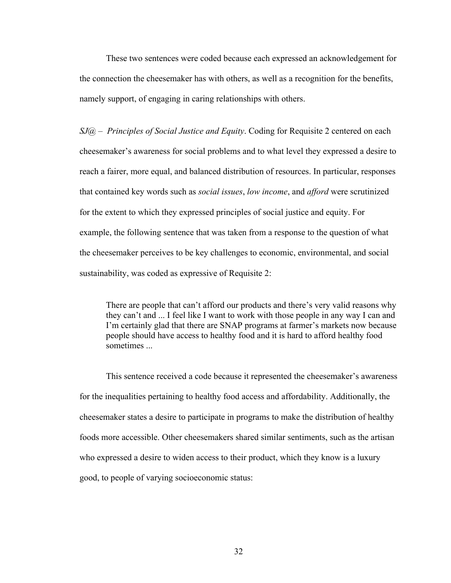These two sentences were coded because each expressed an acknowledgement for the connection the cheesemaker has with others, as well as a recognition for the benefits, namely support, of engaging in caring relationships with others.

*SJ@ – Principles of Social Justice and Equity*. Coding for Requisite 2 centered on each cheesemaker's awareness for social problems and to what level they expressed a desire to reach a fairer, more equal, and balanced distribution of resources. In particular, responses that contained key words such as *social issues*, *low income*, and *afford* were scrutinized for the extent to which they expressed principles of social justice and equity. For example, the following sentence that was taken from a response to the question of what the cheesemaker perceives to be key challenges to economic, environmental, and social sustainability, was coded as expressive of Requisite 2:

There are people that can't afford our products and there's very valid reasons why they can't and ... I feel like I want to work with those people in any way I can and I'm certainly glad that there are SNAP programs at farmer's markets now because people should have access to healthy food and it is hard to afford healthy food sometimes

This sentence received a code because it represented the cheesemaker's awareness for the inequalities pertaining to healthy food access and affordability. Additionally, the cheesemaker states a desire to participate in programs to make the distribution of healthy foods more accessible. Other cheesemakers shared similar sentiments, such as the artisan who expressed a desire to widen access to their product, which they know is a luxury good, to people of varying socioeconomic status: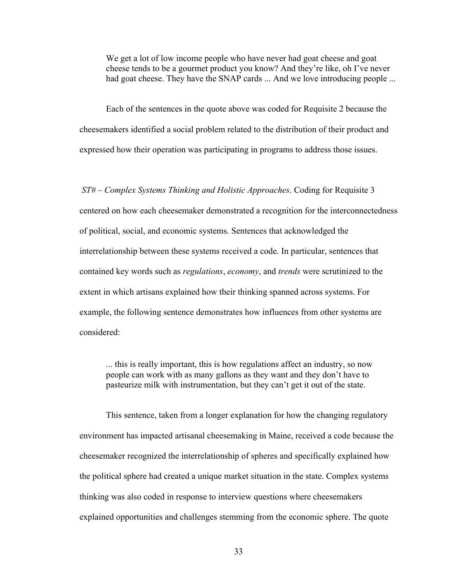We get a lot of low income people who have never had goat cheese and goat cheese tends to be a gourmet product you know? And they're like, oh I've never had goat cheese. They have the SNAP cards ... And we love introducing people ...

Each of the sentences in the quote above was coded for Requisite 2 because the cheesemakers identified a social problem related to the distribution of their product and expressed how their operation was participating in programs to address those issues.

*ST# – Complex Systems Thinking and Holistic Approaches*. Coding for Requisite 3 centered on how each cheesemaker demonstrated a recognition for the interconnectedness of political, social, and economic systems. Sentences that acknowledged the interrelationship between these systems received a code. In particular, sentences that contained key words such as *regulations*, *economy*, and *trends* were scrutinized to the extent in which artisans explained how their thinking spanned across systems. For example, the following sentence demonstrates how influences from other systems are considered:

... this is really important, this is how regulations affect an industry, so now people can work with as many gallons as they want and they don't have to pasteurize milk with instrumentation, but they can't get it out of the state.

This sentence, taken from a longer explanation for how the changing regulatory environment has impacted artisanal cheesemaking in Maine, received a code because the cheesemaker recognized the interrelationship of spheres and specifically explained how the political sphere had created a unique market situation in the state. Complex systems thinking was also coded in response to interview questions where cheesemakers explained opportunities and challenges stemming from the economic sphere. The quote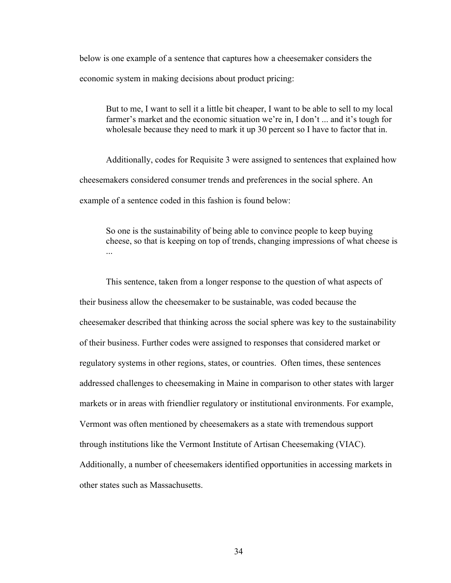below is one example of a sentence that captures how a cheesemaker considers the economic system in making decisions about product pricing:

But to me, I want to sell it a little bit cheaper, I want to be able to sell to my local farmer's market and the economic situation we're in, I don't ... and it's tough for wholesale because they need to mark it up 30 percent so I have to factor that in.

Additionally, codes for Requisite 3 were assigned to sentences that explained how cheesemakers considered consumer trends and preferences in the social sphere. An example of a sentence coded in this fashion is found below:

So one is the sustainability of being able to convince people to keep buying cheese, so that is keeping on top of trends, changing impressions of what cheese is

This sentence, taken from a longer response to the question of what aspects of their business allow the cheesemaker to be sustainable, was coded because the cheesemaker described that thinking across the social sphere was key to the sustainability of their business. Further codes were assigned to responses that considered market or regulatory systems in other regions, states, or countries. Often times, these sentences addressed challenges to cheesemaking in Maine in comparison to other states with larger markets or in areas with friendlier regulatory or institutional environments. For example, Vermont was often mentioned by cheesemakers as a state with tremendous support through institutions like the Vermont Institute of Artisan Cheesemaking (VIAC). Additionally, a number of cheesemakers identified opportunities in accessing markets in other states such as Massachusetts.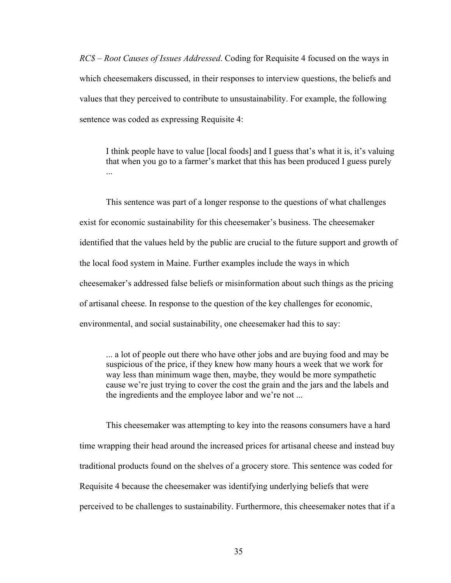*RC\$ – Root Causes of Issues Addressed*. Coding for Requisite 4 focused on the ways in which cheesemakers discussed, in their responses to interview questions, the beliefs and values that they perceived to contribute to unsustainability. For example, the following sentence was coded as expressing Requisite 4:

I think people have to value [local foods] and I guess that's what it is, it's valuing that when you go to a farmer's market that this has been produced I guess purely ...

This sentence was part of a longer response to the questions of what challenges exist for economic sustainability for this cheesemaker's business. The cheesemaker identified that the values held by the public are crucial to the future support and growth of the local food system in Maine. Further examples include the ways in which cheesemaker's addressed false beliefs or misinformation about such things as the pricing of artisanal cheese. In response to the question of the key challenges for economic, environmental, and social sustainability, one cheesemaker had this to say:

... a lot of people out there who have other jobs and are buying food and may be suspicious of the price, if they knew how many hours a week that we work for way less than minimum wage then, maybe, they would be more sympathetic cause we're just trying to cover the cost the grain and the jars and the labels and the ingredients and the employee labor and we're not ...

This cheesemaker was attempting to key into the reasons consumers have a hard time wrapping their head around the increased prices for artisanal cheese and instead buy traditional products found on the shelves of a grocery store. This sentence was coded for Requisite 4 because the cheesemaker was identifying underlying beliefs that were perceived to be challenges to sustainability. Furthermore, this cheesemaker notes that if a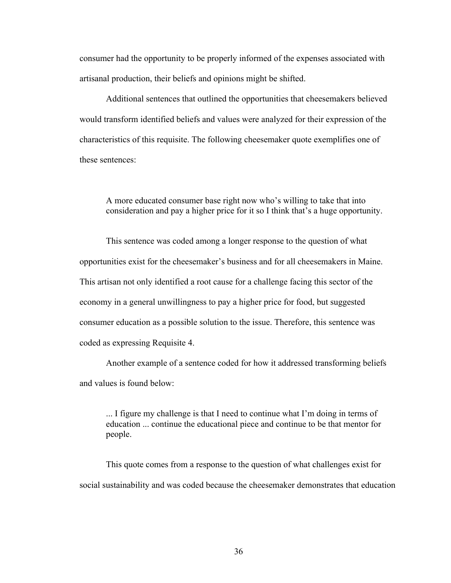consumer had the opportunity to be properly informed of the expenses associated with artisanal production, their beliefs and opinions might be shifted.

Additional sentences that outlined the opportunities that cheesemakers believed would transform identified beliefs and values were analyzed for their expression of the characteristics of this requisite. The following cheesemaker quote exemplifies one of these sentences:

A more educated consumer base right now who's willing to take that into consideration and pay a higher price for it so I think that's a huge opportunity.

This sentence was coded among a longer response to the question of what opportunities exist for the cheesemaker's business and for all cheesemakers in Maine. This artisan not only identified a root cause for a challenge facing this sector of the economy in a general unwillingness to pay a higher price for food, but suggested consumer education as a possible solution to the issue. Therefore, this sentence was coded as expressing Requisite 4.

Another example of a sentence coded for how it addressed transforming beliefs and values is found below:

... I figure my challenge is that I need to continue what I'm doing in terms of education ... continue the educational piece and continue to be that mentor for people.

This quote comes from a response to the question of what challenges exist for social sustainability and was coded because the cheesemaker demonstrates that education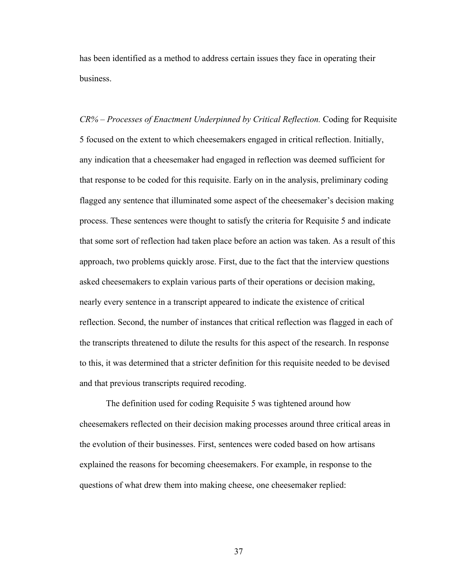has been identified as a method to address certain issues they face in operating their business.

*CR% – Processes of Enactment Underpinned by Critical Reflection.* Coding for Requisite 5 focused on the extent to which cheesemakers engaged in critical reflection. Initially, any indication that a cheesemaker had engaged in reflection was deemed sufficient for that response to be coded for this requisite. Early on in the analysis, preliminary coding flagged any sentence that illuminated some aspect of the cheesemaker's decision making process. These sentences were thought to satisfy the criteria for Requisite 5 and indicate that some sort of reflection had taken place before an action was taken. As a result of this approach, two problems quickly arose. First, due to the fact that the interview questions asked cheesemakers to explain various parts of their operations or decision making, nearly every sentence in a transcript appeared to indicate the existence of critical reflection. Second, the number of instances that critical reflection was flagged in each of the transcripts threatened to dilute the results for this aspect of the research. In response to this, it was determined that a stricter definition for this requisite needed to be devised and that previous transcripts required recoding.

The definition used for coding Requisite 5 was tightened around how cheesemakers reflected on their decision making processes around three critical areas in the evolution of their businesses. First, sentences were coded based on how artisans explained the reasons for becoming cheesemakers. For example, in response to the questions of what drew them into making cheese, one cheesemaker replied: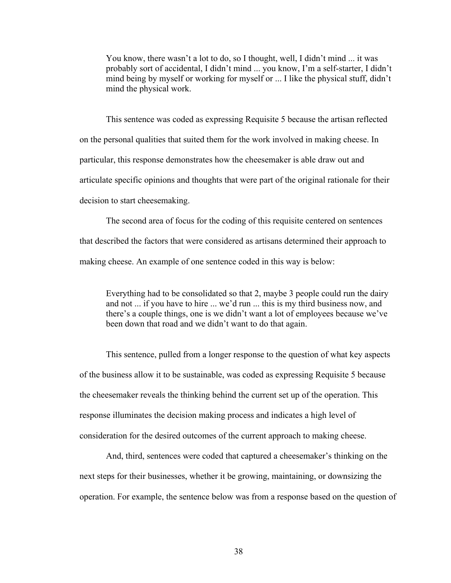You know, there wasn't a lot to do, so I thought, well, I didn't mind ... it was probably sort of accidental, I didn't mind ... you know, I'm a self-starter, I didn't mind being by myself or working for myself or ... I like the physical stuff, didn't mind the physical work.

This sentence was coded as expressing Requisite 5 because the artisan reflected on the personal qualities that suited them for the work involved in making cheese. In particular, this response demonstrates how the cheesemaker is able draw out and articulate specific opinions and thoughts that were part of the original rationale for their decision to start cheesemaking.

The second area of focus for the coding of this requisite centered on sentences that described the factors that were considered as artisans determined their approach to making cheese. An example of one sentence coded in this way is below:

Everything had to be consolidated so that 2, maybe 3 people could run the dairy and not ... if you have to hire ... we'd run ... this is my third business now, and there's a couple things, one is we didn't want a lot of employees because we've been down that road and we didn't want to do that again.

This sentence, pulled from a longer response to the question of what key aspects of the business allow it to be sustainable, was coded as expressing Requisite 5 because the cheesemaker reveals the thinking behind the current set up of the operation. This response illuminates the decision making process and indicates a high level of consideration for the desired outcomes of the current approach to making cheese.

And, third, sentences were coded that captured a cheesemaker's thinking on the next steps for their businesses, whether it be growing, maintaining, or downsizing the operation. For example, the sentence below was from a response based on the question of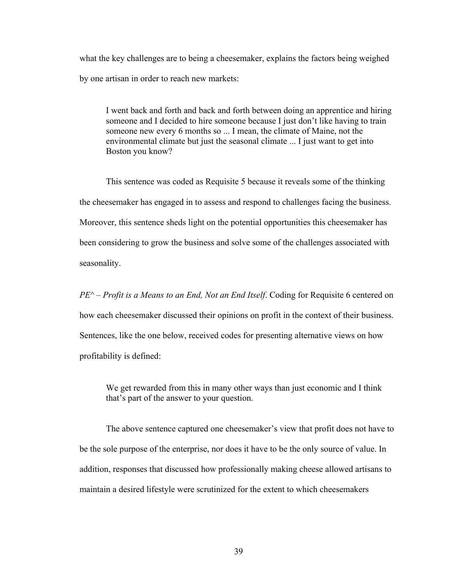what the key challenges are to being a cheesemaker, explains the factors being weighed by one artisan in order to reach new markets:

I went back and forth and back and forth between doing an apprentice and hiring someone and I decided to hire someone because I just don't like having to train someone new every 6 months so ... I mean, the climate of Maine, not the environmental climate but just the seasonal climate ... I just want to get into Boston you know?

This sentence was coded as Requisite 5 because it reveals some of the thinking the cheesemaker has engaged in to assess and respond to challenges facing the business. Moreover, this sentence sheds light on the potential opportunities this cheesemaker has been considering to grow the business and solve some of the challenges associated with seasonality.

*PE^ – Profit is a Means to an End, Not an End Itself*. Coding for Requisite 6 centered on how each cheesemaker discussed their opinions on profit in the context of their business. Sentences, like the one below, received codes for presenting alternative views on how profitability is defined:

We get rewarded from this in many other ways than just economic and I think that's part of the answer to your question.

The above sentence captured one cheesemaker's view that profit does not have to be the sole purpose of the enterprise, nor does it have to be the only source of value. In addition, responses that discussed how professionally making cheese allowed artisans to maintain a desired lifestyle were scrutinized for the extent to which cheesemakers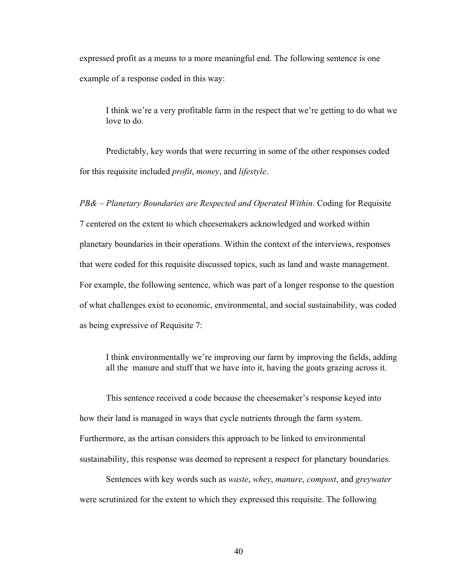expressed profit as a means to a more meaningful end. The following sentence is one example of a response coded in this way:

I think we're a very profitable farm in the respect that we're getting to do what we love to do.

Predictably, key words that were recurring in some of the other responses coded for this requisite included *profit*, *money*, and *lifestyle*.

*PB& – Planetary Boundaries are Respected and Operated Within*. Coding for Requisite 7 centered on the extent to which cheesemakers acknowledged and worked within planetary boundaries in their operations. Within the context of the interviews, responses that were coded for this requisite discussed topics, such as land and waste management. For example, the following sentence, which was part of a longer response to the question of what challenges exist to economic, environmental, and social sustainability, was coded as being expressive of Requisite 7:

I think environmentally we're improving our farm by improving the fields, adding all the manure and stuff that we have into it, having the goats grazing across it.

This sentence received a code because the cheesemaker's response keyed into how their land is managed in ways that cycle nutrients through the farm system. Furthermore, as the artisan considers this approach to be linked to environmental sustainability, this response was deemed to represent a respect for planetary boundaries.

Sentences with key words such as *waste*, *whey*, *manure*, *compost*, and *greywater* were scrutinized for the extent to which they expressed this requisite. The following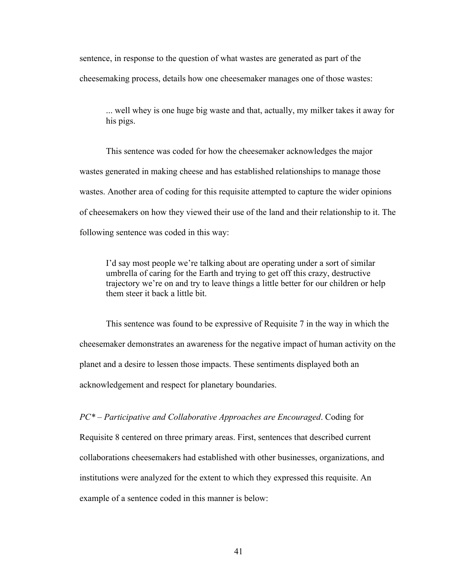sentence, in response to the question of what wastes are generated as part of the cheesemaking process, details how one cheesemaker manages one of those wastes:

... well whey is one huge big waste and that, actually, my milker takes it away for his pigs.

This sentence was coded for how the cheesemaker acknowledges the major wastes generated in making cheese and has established relationships to manage those wastes. Another area of coding for this requisite attempted to capture the wider opinions of cheesemakers on how they viewed their use of the land and their relationship to it. The following sentence was coded in this way:

I'd say most people we're talking about are operating under a sort of similar umbrella of caring for the Earth and trying to get off this crazy, destructive trajectory we're on and try to leave things a little better for our children or help them steer it back a little bit.

This sentence was found to be expressive of Requisite 7 in the way in which the cheesemaker demonstrates an awareness for the negative impact of human activity on the planet and a desire to lessen those impacts. These sentiments displayed both an acknowledgement and respect for planetary boundaries.

*PC\* – Participative and Collaborative Approaches are Encouraged*. Coding for

Requisite 8 centered on three primary areas. First, sentences that described current collaborations cheesemakers had established with other businesses, organizations, and institutions were analyzed for the extent to which they expressed this requisite. An example of a sentence coded in this manner is below: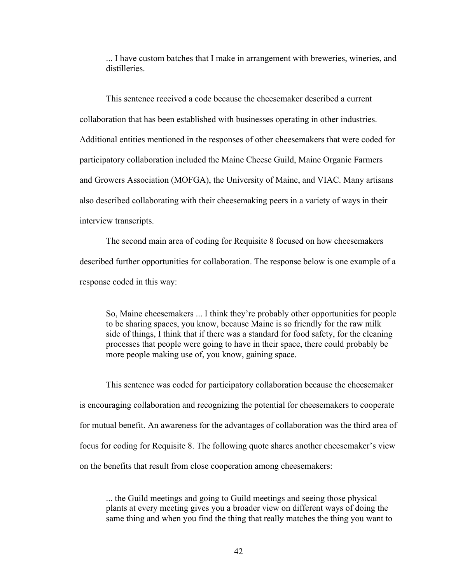... I have custom batches that I make in arrangement with breweries, wineries, and distilleries.

This sentence received a code because the cheesemaker described a current collaboration that has been established with businesses operating in other industries. Additional entities mentioned in the responses of other cheesemakers that were coded for participatory collaboration included the Maine Cheese Guild, Maine Organic Farmers and Growers Association (MOFGA), the University of Maine, and VIAC. Many artisans also described collaborating with their cheesemaking peers in a variety of ways in their interview transcripts.

The second main area of coding for Requisite 8 focused on how cheesemakers described further opportunities for collaboration. The response below is one example of a response coded in this way:

So, Maine cheesemakers ... I think they're probably other opportunities for people to be sharing spaces, you know, because Maine is so friendly for the raw milk side of things, I think that if there was a standard for food safety, for the cleaning processes that people were going to have in their space, there could probably be more people making use of, you know, gaining space.

This sentence was coded for participatory collaboration because the cheesemaker is encouraging collaboration and recognizing the potential for cheesemakers to cooperate for mutual benefit. An awareness for the advantages of collaboration was the third area of focus for coding for Requisite 8. The following quote shares another cheesemaker's view on the benefits that result from close cooperation among cheesemakers:

... the Guild meetings and going to Guild meetings and seeing those physical plants at every meeting gives you a broader view on different ways of doing the same thing and when you find the thing that really matches the thing you want to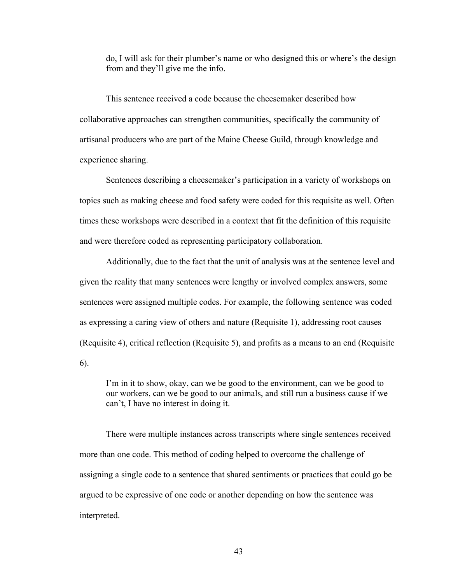do, I will ask for their plumber's name or who designed this or where's the design from and they'll give me the info.

This sentence received a code because the cheesemaker described how collaborative approaches can strengthen communities, specifically the community of artisanal producers who are part of the Maine Cheese Guild, through knowledge and experience sharing.

Sentences describing a cheesemaker's participation in a variety of workshops on topics such as making cheese and food safety were coded for this requisite as well. Often times these workshops were described in a context that fit the definition of this requisite and were therefore coded as representing participatory collaboration.

Additionally, due to the fact that the unit of analysis was at the sentence level and given the reality that many sentences were lengthy or involved complex answers, some sentences were assigned multiple codes. For example, the following sentence was coded as expressing a caring view of others and nature (Requisite 1), addressing root causes (Requisite 4), critical reflection (Requisite 5), and profits as a means to an end (Requisite 6).

I'm in it to show, okay, can we be good to the environment, can we be good to our workers, can we be good to our animals, and still run a business cause if we can't, I have no interest in doing it.

There were multiple instances across transcripts where single sentences received more than one code. This method of coding helped to overcome the challenge of assigning a single code to a sentence that shared sentiments or practices that could go be argued to be expressive of one code or another depending on how the sentence was interpreted.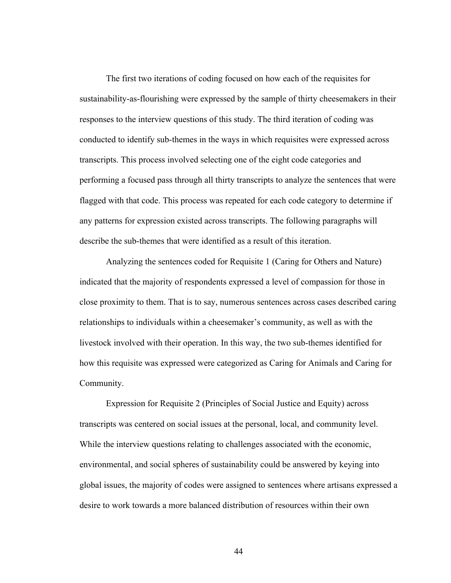The first two iterations of coding focused on how each of the requisites for sustainability-as-flourishing were expressed by the sample of thirty cheesemakers in their responses to the interview questions of this study. The third iteration of coding was conducted to identify sub-themes in the ways in which requisites were expressed across transcripts. This process involved selecting one of the eight code categories and performing a focused pass through all thirty transcripts to analyze the sentences that were flagged with that code. This process was repeated for each code category to determine if any patterns for expression existed across transcripts. The following paragraphs will describe the sub-themes that were identified as a result of this iteration.

Analyzing the sentences coded for Requisite 1 (Caring for Others and Nature) indicated that the majority of respondents expressed a level of compassion for those in close proximity to them. That is to say, numerous sentences across cases described caring relationships to individuals within a cheesemaker's community, as well as with the livestock involved with their operation. In this way, the two sub-themes identified for how this requisite was expressed were categorized as Caring for Animals and Caring for Community.

Expression for Requisite 2 (Principles of Social Justice and Equity) across transcripts was centered on social issues at the personal, local, and community level. While the interview questions relating to challenges associated with the economic, environmental, and social spheres of sustainability could be answered by keying into global issues, the majority of codes were assigned to sentences where artisans expressed a desire to work towards a more balanced distribution of resources within their own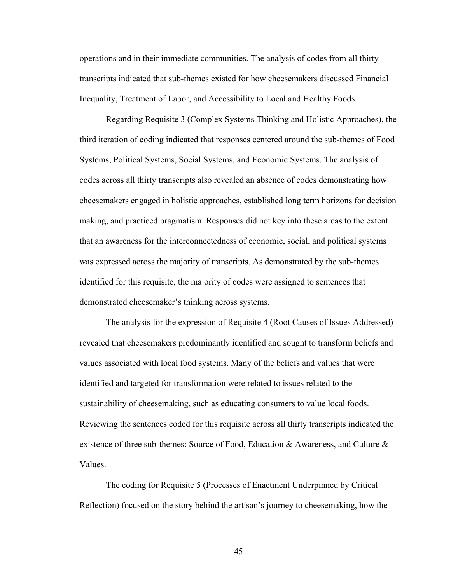operations and in their immediate communities. The analysis of codes from all thirty transcripts indicated that sub-themes existed for how cheesemakers discussed Financial Inequality, Treatment of Labor, and Accessibility to Local and Healthy Foods.

Regarding Requisite 3 (Complex Systems Thinking and Holistic Approaches), the third iteration of coding indicated that responses centered around the sub-themes of Food Systems, Political Systems, Social Systems, and Economic Systems. The analysis of codes across all thirty transcripts also revealed an absence of codes demonstrating how cheesemakers engaged in holistic approaches, established long term horizons for decision making, and practiced pragmatism. Responses did not key into these areas to the extent that an awareness for the interconnectedness of economic, social, and political systems was expressed across the majority of transcripts. As demonstrated by the sub-themes identified for this requisite, the majority of codes were assigned to sentences that demonstrated cheesemaker's thinking across systems.

The analysis for the expression of Requisite 4 (Root Causes of Issues Addressed) revealed that cheesemakers predominantly identified and sought to transform beliefs and values associated with local food systems. Many of the beliefs and values that were identified and targeted for transformation were related to issues related to the sustainability of cheesemaking, such as educating consumers to value local foods. Reviewing the sentences coded for this requisite across all thirty transcripts indicated the existence of three sub-themes: Source of Food, Education & Awareness, and Culture  $\&$ Values.

The coding for Requisite 5 (Processes of Enactment Underpinned by Critical Reflection) focused on the story behind the artisan's journey to cheesemaking, how the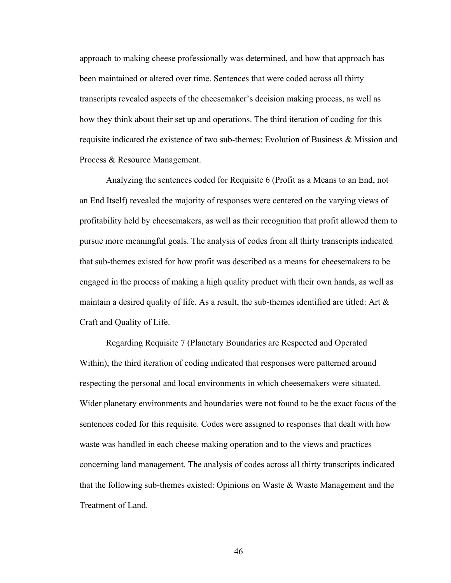approach to making cheese professionally was determined, and how that approach has been maintained or altered over time. Sentences that were coded across all thirty transcripts revealed aspects of the cheesemaker's decision making process, as well as how they think about their set up and operations. The third iteration of coding for this requisite indicated the existence of two sub-themes: Evolution of Business  $\&$  Mission and Process & Resource Management.

Analyzing the sentences coded for Requisite 6 (Profit as a Means to an End, not an End Itself) revealed the majority of responses were centered on the varying views of profitability held by cheesemakers, as well as their recognition that profit allowed them to pursue more meaningful goals. The analysis of codes from all thirty transcripts indicated that sub-themes existed for how profit was described as a means for cheesemakers to be engaged in the process of making a high quality product with their own hands, as well as maintain a desired quality of life. As a result, the sub-themes identified are titled: Art & Craft and Quality of Life.

Regarding Requisite 7 (Planetary Boundaries are Respected and Operated Within), the third iteration of coding indicated that responses were patterned around respecting the personal and local environments in which cheesemakers were situated. Wider planetary environments and boundaries were not found to be the exact focus of the sentences coded for this requisite. Codes were assigned to responses that dealt with how waste was handled in each cheese making operation and to the views and practices concerning land management. The analysis of codes across all thirty transcripts indicated that the following sub-themes existed: Opinions on Waste  $\&$  Waste Management and the Treatment of Land.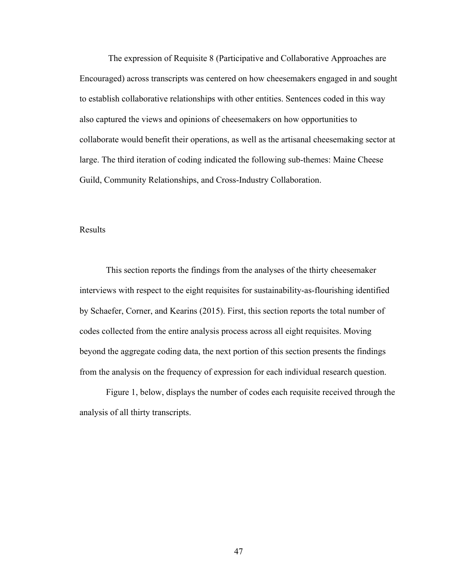The expression of Requisite 8 (Participative and Collaborative Approaches are Encouraged) across transcripts was centered on how cheesemakers engaged in and sought to establish collaborative relationships with other entities. Sentences coded in this way also captured the views and opinions of cheesemakers on how opportunities to collaborate would benefit their operations, as well as the artisanal cheesemaking sector at large. The third iteration of coding indicated the following sub-themes: Maine Cheese Guild, Community Relationships, and Cross-Industry Collaboration.

#### Results

This section reports the findings from the analyses of the thirty cheesemaker interviews with respect to the eight requisites for sustainability-as-flourishing identified by Schaefer, Corner, and Kearins (2015). First, this section reports the total number of codes collected from the entire analysis process across all eight requisites. Moving beyond the aggregate coding data, the next portion of this section presents the findings from the analysis on the frequency of expression for each individual research question.

Figure 1, below, displays the number of codes each requisite received through the analysis of all thirty transcripts.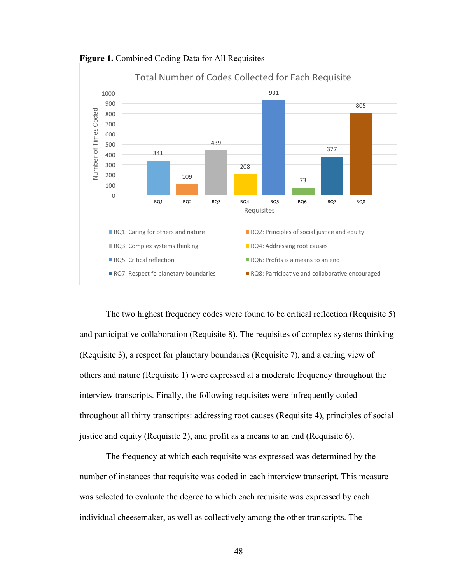

**Figure 1.** Combined Coding Data for All Requisites

The two highest frequency codes were found to be critical reflection (Requisite 5) and participative collaboration (Requisite 8). The requisites of complex systems thinking (Requisite 3), a respect for planetary boundaries (Requisite 7), and a caring view of others and nature (Requisite 1) were expressed at a moderate frequency throughout the interview transcripts. Finally, the following requisites were infrequently coded throughout all thirty transcripts: addressing root causes (Requisite 4), principles of social justice and equity (Requisite 2), and profit as a means to an end (Requisite 6).

The frequency at which each requisite was expressed was determined by the number of instances that requisite was coded in each interview transcript. This measure was selected to evaluate the degree to which each requisite was expressed by each individual cheesemaker, as well as collectively among the other transcripts. The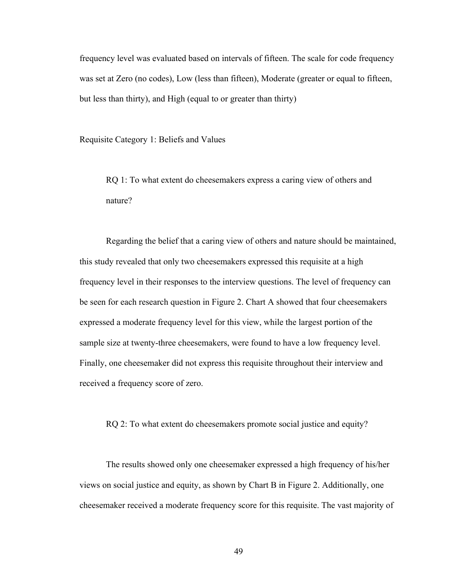frequency level was evaluated based on intervals of fifteen. The scale for code frequency was set at Zero (no codes), Low (less than fifteen), Moderate (greater or equal to fifteen, but less than thirty), and High (equal to or greater than thirty)

Requisite Category 1: Beliefs and Values

RQ 1: To what extent do cheesemakers express a caring view of others and nature?

Regarding the belief that a caring view of others and nature should be maintained, this study revealed that only two cheesemakers expressed this requisite at a high frequency level in their responses to the interview questions. The level of frequency can be seen for each research question in Figure 2. Chart A showed that four cheesemakers expressed a moderate frequency level for this view, while the largest portion of the sample size at twenty-three cheesemakers, were found to have a low frequency level. Finally, one cheesemaker did not express this requisite throughout their interview and received a frequency score of zero.

RQ 2: To what extent do cheesemakers promote social justice and equity?

The results showed only one cheesemaker expressed a high frequency of his/her views on social justice and equity, as shown by Chart B in Figure 2. Additionally, one cheesemaker received a moderate frequency score for this requisite. The vast majority of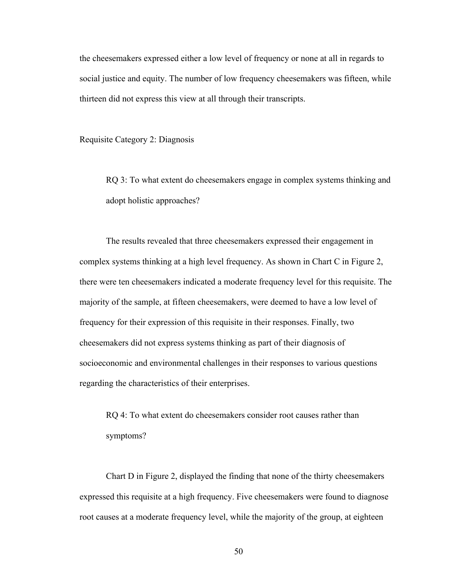the cheesemakers expressed either a low level of frequency or none at all in regards to social justice and equity. The number of low frequency cheesemakers was fifteen, while thirteen did not express this view at all through their transcripts.

Requisite Category 2: Diagnosis

RQ 3: To what extent do cheesemakers engage in complex systems thinking and adopt holistic approaches?

The results revealed that three cheesemakers expressed their engagement in complex systems thinking at a high level frequency. As shown in Chart C in Figure 2, there were ten cheesemakers indicated a moderate frequency level for this requisite. The majority of the sample, at fifteen cheesemakers, were deemed to have a low level of frequency for their expression of this requisite in their responses. Finally, two cheesemakers did not express systems thinking as part of their diagnosis of socioeconomic and environmental challenges in their responses to various questions regarding the characteristics of their enterprises.

RQ 4: To what extent do cheesemakers consider root causes rather than symptoms?

Chart D in Figure 2, displayed the finding that none of the thirty cheesemakers expressed this requisite at a high frequency. Five cheesemakers were found to diagnose root causes at a moderate frequency level, while the majority of the group, at eighteen